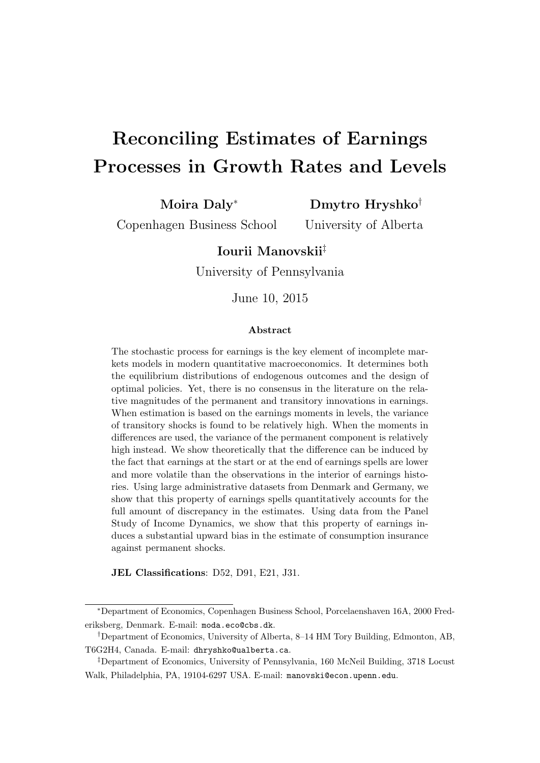# <span id="page-0-0"></span>Reconciling Estimates of Earnings Processes in Growth Rates and Levels

Moira Daly<sup>∗</sup>

Dmytro Hryshko†

Copenhagen Business School

University of Alberta

### Iourii Manovskii‡

University of Pennsylvania

June 10, 2015

#### Abstract

The stochastic process for earnings is the key element of incomplete markets models in modern quantitative macroeconomics. It determines both the equilibrium distributions of endogenous outcomes and the design of optimal policies. Yet, there is no consensus in the literature on the relative magnitudes of the permanent and transitory innovations in earnings. When estimation is based on the earnings moments in levels, the variance of transitory shocks is found to be relatively high. When the moments in differences are used, the variance of the permanent component is relatively high instead. We show theoretically that the difference can be induced by the fact that earnings at the start or at the end of earnings spells are lower and more volatile than the observations in the interior of earnings histories. Using large administrative datasets from Denmark and Germany, we show that this property of earnings spells quantitatively accounts for the full amount of discrepancy in the estimates. Using data from the Panel Study of Income Dynamics, we show that this property of earnings induces a substantial upward bias in the estimate of consumption insurance against permanent shocks.

JEL Classifications: D52, D91, E21, J31.

<sup>∗</sup>Department of Economics, Copenhagen Business School, Porcelaenshaven 16A, 2000 Frederiksberg, Denmark. E-mail: moda.eco@cbs.dk.

<sup>†</sup>Department of Economics, University of Alberta, 8–14 HM Tory Building, Edmonton, AB, T6G2H4, Canada. E-mail: dhryshko@ualberta.ca.

<sup>‡</sup>Department of Economics, University of Pennsylvania, 160 McNeil Building, 3718 Locust Walk, Philadelphia, PA, 19104-6297 USA. E-mail: manovski@econ.upenn.edu.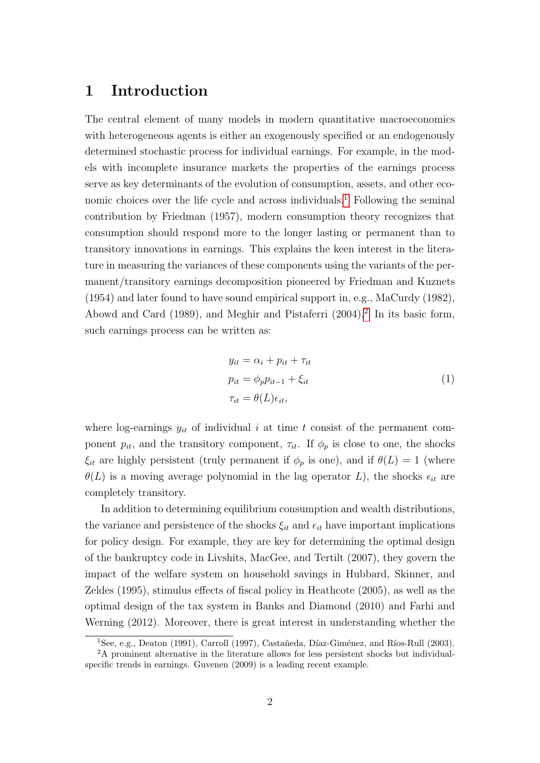# 1 Introduction

The central element of many models in modern quantitative macroeconomics with heterogeneous agents is either an exogenously specified or an endogenously determined stochastic process for individual earnings. For example, in the models with incomplete insurance markets the properties of the earnings process serve as key determinants of the evolution of consumption, assets, and other eco-nomic choices over the life cycle and across individuals.<sup>[1](#page-0-0)</sup> Following the seminal contribution by Friedman (1957), modern consumption theory recognizes that consumption should respond more to the longer lasting or permanent than to transitory innovations in earnings. This explains the keen interest in the literature in measuring the variances of these components using the variants of the permanent/transitory earnings decomposition pioneered by Friedman and Kuznets (1954) and later found to have sound empirical support in, e.g., MaCurdy (1982), Abowd and Card (1989), and Meghir and Pistaferri ([2](#page-0-0)004).<sup>2</sup> In its basic form, such earnings process can be written as:

<span id="page-1-0"></span>
$$
y_{it} = \alpha_i + p_{it} + \tau_{it}
$$
  
\n
$$
p_{it} = \phi_p p_{it-1} + \xi_{it}
$$
  
\n
$$
\tau_{it} = \theta(L)\epsilon_{it},
$$
\n(1)

where log-earnings  $y_{it}$  of individual i at time t consist of the permanent component  $p_{it}$ , and the transitory component,  $\tau_{it}$ . If  $\phi_p$  is close to one, the shocks  $\xi_{it}$  are highly persistent (truly permanent if  $\phi_p$  is one), and if  $\theta(L) = 1$  (where  $\theta(L)$  is a moving average polynomial in the lag operator L), the shocks  $\epsilon_{it}$  are completely transitory.

In addition to determining equilibrium consumption and wealth distributions, the variance and persistence of the shocks  $\xi_{it}$  and  $\epsilon_{it}$  have important implications for policy design. For example, they are key for determining the optimal design of the bankruptcy code in Livshits, MacGee, and Tertilt (2007), they govern the impact of the welfare system on household savings in Hubbard, Skinner, and Zeldes (1995), stimulus effects of fiscal policy in Heathcote (2005), as well as the optimal design of the tax system in Banks and Diamond (2010) and Farhi and Werning (2012). Moreover, there is great interest in understanding whether the

<sup>&</sup>lt;sup>1</sup>See, e.g., Deaton (1991), Carroll (1997), Castañeda, Díaz-Giménez, and Ríos-Rull (2003).

<sup>2</sup>A prominent alternative in the literature allows for less persistent shocks but individualspecific trends in earnings. Guvenen (2009) is a leading recent example.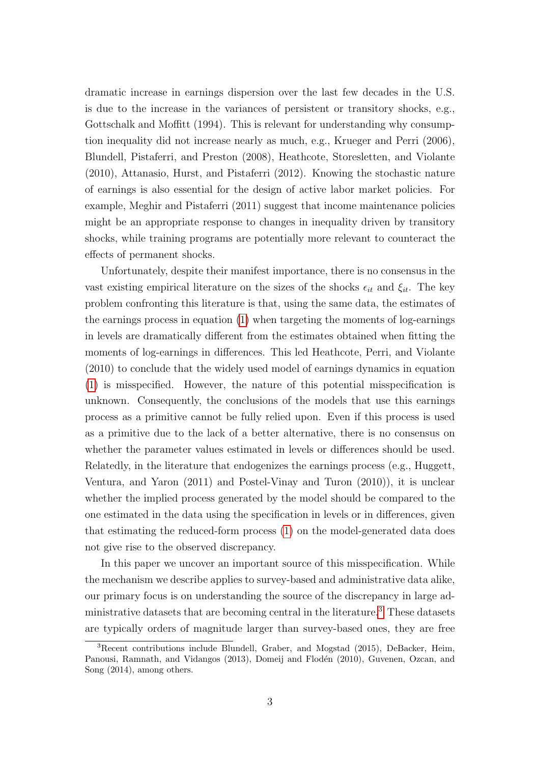dramatic increase in earnings dispersion over the last few decades in the U.S. is due to the increase in the variances of persistent or transitory shocks, e.g., Gottschalk and Moffitt (1994). This is relevant for understanding why consumption inequality did not increase nearly as much, e.g., Krueger and Perri (2006), Blundell, Pistaferri, and Preston (2008), Heathcote, Storesletten, and Violante (2010), Attanasio, Hurst, and Pistaferri (2012). Knowing the stochastic nature of earnings is also essential for the design of active labor market policies. For example, Meghir and Pistaferri (2011) suggest that income maintenance policies might be an appropriate response to changes in inequality driven by transitory shocks, while training programs are potentially more relevant to counteract the effects of permanent shocks.

Unfortunately, despite their manifest importance, there is no consensus in the vast existing empirical literature on the sizes of the shocks  $\epsilon_{it}$  and  $\xi_{it}$ . The key problem confronting this literature is that, using the same data, the estimates of the earnings process in equation [\(1\)](#page-1-0) when targeting the moments of log-earnings in levels are dramatically different from the estimates obtained when fitting the moments of log-earnings in differences. This led Heathcote, Perri, and Violante (2010) to conclude that the widely used model of earnings dynamics in equation [\(1\)](#page-1-0) is misspecified. However, the nature of this potential misspecification is unknown. Consequently, the conclusions of the models that use this earnings process as a primitive cannot be fully relied upon. Even if this process is used as a primitive due to the lack of a better alternative, there is no consensus on whether the parameter values estimated in levels or differences should be used. Relatedly, in the literature that endogenizes the earnings process (e.g., Huggett, Ventura, and Yaron (2011) and Postel-Vinay and Turon (2010)), it is unclear whether the implied process generated by the model should be compared to the one estimated in the data using the specification in levels or in differences, given that estimating the reduced-form process [\(1\)](#page-1-0) on the model-generated data does not give rise to the observed discrepancy.

In this paper we uncover an important source of this misspecification. While the mechanism we describe applies to survey-based and administrative data alike, our primary focus is on understanding the source of the discrepancy in large administrative datasets that are becoming central in the literature.[3](#page-0-0) These datasets are typically orders of magnitude larger than survey-based ones, they are free

<sup>3</sup>Recent contributions include Blundell, Graber, and Mogstad (2015), DeBacker, Heim, Panousi, Ramnath, and Vidangos (2013), Domeij and Flodén (2010), Guvenen, Ozcan, and Song (2014), among others.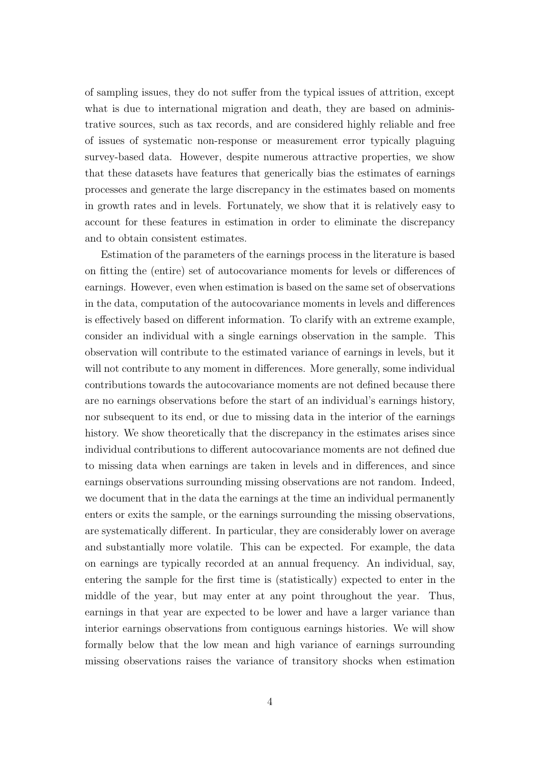of sampling issues, they do not suffer from the typical issues of attrition, except what is due to international migration and death, they are based on administrative sources, such as tax records, and are considered highly reliable and free of issues of systematic non-response or measurement error typically plaguing survey-based data. However, despite numerous attractive properties, we show that these datasets have features that generically bias the estimates of earnings processes and generate the large discrepancy in the estimates based on moments in growth rates and in levels. Fortunately, we show that it is relatively easy to account for these features in estimation in order to eliminate the discrepancy and to obtain consistent estimates.

Estimation of the parameters of the earnings process in the literature is based on fitting the (entire) set of autocovariance moments for levels or differences of earnings. However, even when estimation is based on the same set of observations in the data, computation of the autocovariance moments in levels and differences is effectively based on different information. To clarify with an extreme example, consider an individual with a single earnings observation in the sample. This observation will contribute to the estimated variance of earnings in levels, but it will not contribute to any moment in differences. More generally, some individual contributions towards the autocovariance moments are not defined because there are no earnings observations before the start of an individual's earnings history, nor subsequent to its end, or due to missing data in the interior of the earnings history. We show theoretically that the discrepancy in the estimates arises since individual contributions to different autocovariance moments are not defined due to missing data when earnings are taken in levels and in differences, and since earnings observations surrounding missing observations are not random. Indeed, we document that in the data the earnings at the time an individual permanently enters or exits the sample, or the earnings surrounding the missing observations, are systematically different. In particular, they are considerably lower on average and substantially more volatile. This can be expected. For example, the data on earnings are typically recorded at an annual frequency. An individual, say, entering the sample for the first time is (statistically) expected to enter in the middle of the year, but may enter at any point throughout the year. Thus, earnings in that year are expected to be lower and have a larger variance than interior earnings observations from contiguous earnings histories. We will show formally below that the low mean and high variance of earnings surrounding missing observations raises the variance of transitory shocks when estimation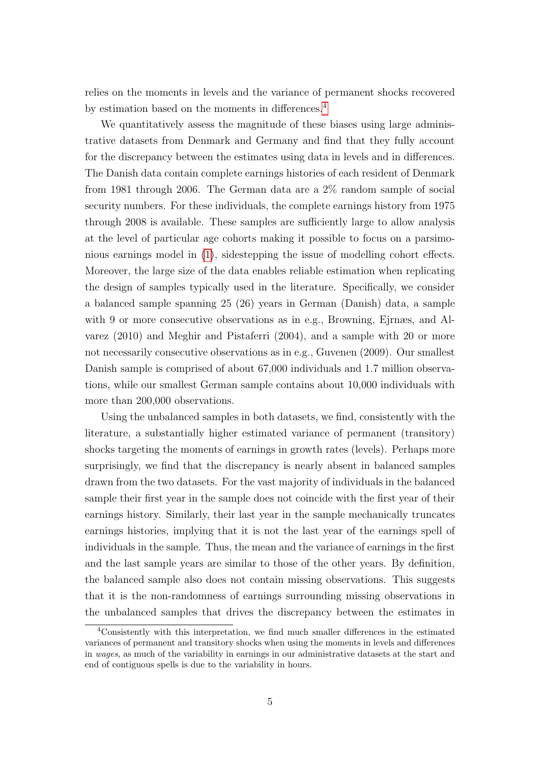relies on the moments in levels and the variance of permanent shocks recovered by estimation based on the moments in differences.[4](#page-0-0)

We quantitatively assess the magnitude of these biases using large administrative datasets from Denmark and Germany and find that they fully account for the discrepancy between the estimates using data in levels and in differences. The Danish data contain complete earnings histories of each resident of Denmark from 1981 through 2006. The German data are a 2% random sample of social security numbers. For these individuals, the complete earnings history from 1975 through 2008 is available. These samples are sufficiently large to allow analysis at the level of particular age cohorts making it possible to focus on a parsimonious earnings model in [\(1\)](#page-1-0), sidestepping the issue of modelling cohort effects. Moreover, the large size of the data enables reliable estimation when replicating the design of samples typically used in the literature. Specifically, we consider a balanced sample spanning 25 (26) years in German (Danish) data, a sample with 9 or more consecutive observations as in e.g., Browning, Ejrnæs, and Alvarez (2010) and Meghir and Pistaferri (2004), and a sample with 20 or more not necessarily consecutive observations as in e.g., Guvenen (2009). Our smallest Danish sample is comprised of about 67,000 individuals and 1.7 million observations, while our smallest German sample contains about 10,000 individuals with more than 200,000 observations.

Using the unbalanced samples in both datasets, we find, consistently with the literature, a substantially higher estimated variance of permanent (transitory) shocks targeting the moments of earnings in growth rates (levels). Perhaps more surprisingly, we find that the discrepancy is nearly absent in balanced samples drawn from the two datasets. For the vast majority of individuals in the balanced sample their first year in the sample does not coincide with the first year of their earnings history. Similarly, their last year in the sample mechanically truncates earnings histories, implying that it is not the last year of the earnings spell of individuals in the sample. Thus, the mean and the variance of earnings in the first and the last sample years are similar to those of the other years. By definition, the balanced sample also does not contain missing observations. This suggests that it is the non-randomness of earnings surrounding missing observations in the unbalanced samples that drives the discrepancy between the estimates in

<sup>4</sup>Consistently with this interpretation, we find much smaller differences in the estimated variances of permanent and transitory shocks when using the moments in levels and differences in wages, as much of the variability in earnings in our administrative datasets at the start and end of contiguous spells is due to the variability in hours.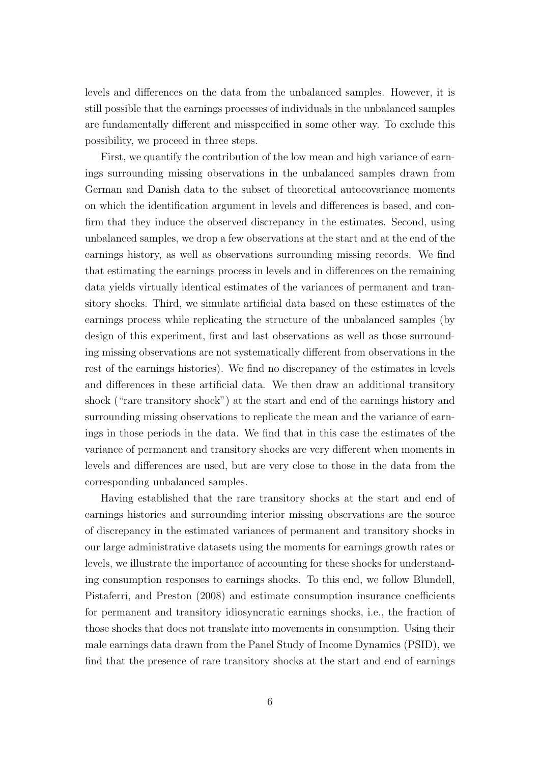levels and differences on the data from the unbalanced samples. However, it is still possible that the earnings processes of individuals in the unbalanced samples are fundamentally different and misspecified in some other way. To exclude this possibility, we proceed in three steps.

First, we quantify the contribution of the low mean and high variance of earnings surrounding missing observations in the unbalanced samples drawn from German and Danish data to the subset of theoretical autocovariance moments on which the identification argument in levels and differences is based, and confirm that they induce the observed discrepancy in the estimates. Second, using unbalanced samples, we drop a few observations at the start and at the end of the earnings history, as well as observations surrounding missing records. We find that estimating the earnings process in levels and in differences on the remaining data yields virtually identical estimates of the variances of permanent and transitory shocks. Third, we simulate artificial data based on these estimates of the earnings process while replicating the structure of the unbalanced samples (by design of this experiment, first and last observations as well as those surrounding missing observations are not systematically different from observations in the rest of the earnings histories). We find no discrepancy of the estimates in levels and differences in these artificial data. We then draw an additional transitory shock ("rare transitory shock") at the start and end of the earnings history and surrounding missing observations to replicate the mean and the variance of earnings in those periods in the data. We find that in this case the estimates of the variance of permanent and transitory shocks are very different when moments in levels and differences are used, but are very close to those in the data from the corresponding unbalanced samples.

Having established that the rare transitory shocks at the start and end of earnings histories and surrounding interior missing observations are the source of discrepancy in the estimated variances of permanent and transitory shocks in our large administrative datasets using the moments for earnings growth rates or levels, we illustrate the importance of accounting for these shocks for understanding consumption responses to earnings shocks. To this end, we follow Blundell, Pistaferri, and Preston (2008) and estimate consumption insurance coefficients for permanent and transitory idiosyncratic earnings shocks, i.e., the fraction of those shocks that does not translate into movements in consumption. Using their male earnings data drawn from the Panel Study of Income Dynamics (PSID), we find that the presence of rare transitory shocks at the start and end of earnings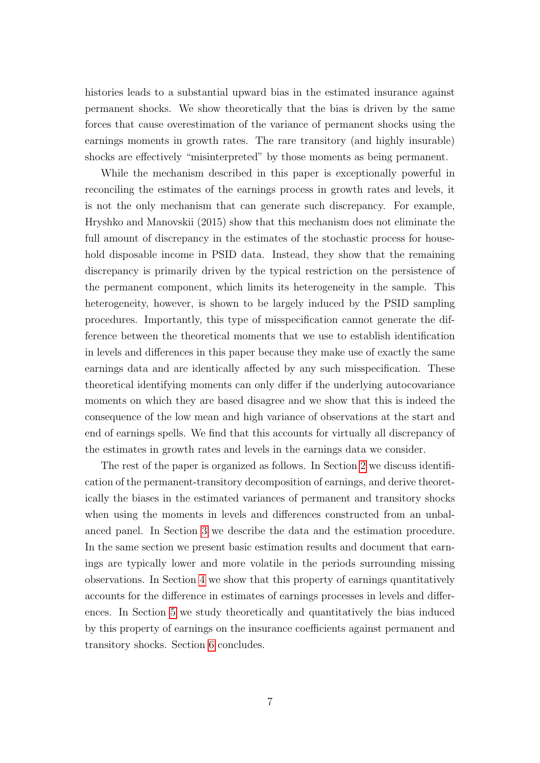histories leads to a substantial upward bias in the estimated insurance against permanent shocks. We show theoretically that the bias is driven by the same forces that cause overestimation of the variance of permanent shocks using the earnings moments in growth rates. The rare transitory (and highly insurable) shocks are effectively "misinterpreted" by those moments as being permanent.

While the mechanism described in this paper is exceptionally powerful in reconciling the estimates of the earnings process in growth rates and levels, it is not the only mechanism that can generate such discrepancy. For example, Hryshko and Manovskii (2015) show that this mechanism does not eliminate the full amount of discrepancy in the estimates of the stochastic process for household disposable income in PSID data. Instead, they show that the remaining discrepancy is primarily driven by the typical restriction on the persistence of the permanent component, which limits its heterogeneity in the sample. This heterogeneity, however, is shown to be largely induced by the PSID sampling procedures. Importantly, this type of misspecification cannot generate the difference between the theoretical moments that we use to establish identification in levels and differences in this paper because they make use of exactly the same earnings data and are identically affected by any such misspecification. These theoretical identifying moments can only differ if the underlying autocovariance moments on which they are based disagree and we show that this is indeed the consequence of the low mean and high variance of observations at the start and end of earnings spells. We find that this accounts for virtually all discrepancy of the estimates in growth rates and levels in the earnings data we consider.

The rest of the paper is organized as follows. In Section [2](#page-7-0) we discuss identification of the permanent-transitory decomposition of earnings, and derive theoretically the biases in the estimated variances of permanent and transitory shocks when using the moments in levels and differences constructed from an unbalanced panel. In Section [3](#page-12-0) we describe the data and the estimation procedure. In the same section we present basic estimation results and document that earnings are typically lower and more volatile in the periods surrounding missing observations. In Section [4](#page-20-0) we show that this property of earnings quantitatively accounts for the difference in estimates of earnings processes in levels and differences. In Section [5](#page-24-0) we study theoretically and quantitatively the bias induced by this property of earnings on the insurance coefficients against permanent and transitory shocks. Section [6](#page-31-0) concludes.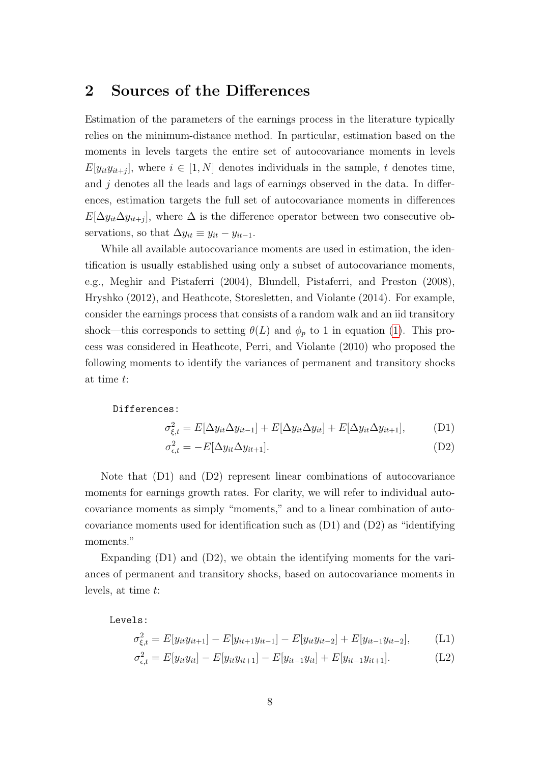# <span id="page-7-0"></span>2 Sources of the Differences

Estimation of the parameters of the earnings process in the literature typically relies on the minimum-distance method. In particular, estimation based on the moments in levels targets the entire set of autocovariance moments in levels  $E[y_{it}y_{it+j}]$ , where  $i \in [1, N]$  denotes individuals in the sample, t denotes time, and  $j$  denotes all the leads and lags of earnings observed in the data. In differences, estimation targets the full set of autocovariance moments in differences  $E[\Delta y_{it} \Delta y_{it+j}]$ , where  $\Delta$  is the difference operator between two consecutive observations, so that  $\Delta y_{it} \equiv y_{it} - y_{it-1}$ .

While all available autocovariance moments are used in estimation, the identification is usually established using only a subset of autocovariance moments, e.g., Meghir and Pistaferri (2004), Blundell, Pistaferri, and Preston (2008), Hryshko (2012), and Heathcote, Storesletten, and Violante (2014). For example, consider the earnings process that consists of a random walk and an iid transitory shock—this corresponds to setting  $\theta(L)$  and  $\phi_p$  to 1 in equation [\(1\)](#page-1-0). This process was considered in Heathcote, Perri, and Violante (2010) who proposed the following moments to identify the variances of permanent and transitory shocks at time t:

Differences:

$$
\sigma_{\xi,t}^2 = E[\Delta y_{it}\Delta y_{it-1}] + E[\Delta y_{it}\Delta y_{it}] + E[\Delta y_{it}\Delta y_{it+1}], \quad (D1)
$$

$$
\sigma_{\epsilon,t}^2 = -E[\Delta y_{it}\Delta y_{it+1}].
$$
\n(D2)

Note that (D1) and (D2) represent linear combinations of autocovariance moments for earnings growth rates. For clarity, we will refer to individual autocovariance moments as simply "moments," and to a linear combination of autocovariance moments used for identification such as (D1) and (D2) as "identifying moments."

Expanding (D1) and (D2), we obtain the identifying moments for the variances of permanent and transitory shocks, based on autocovariance moments in levels, at time t:

Levels:

$$
\sigma_{\xi,t}^2 = E[y_{it}y_{it+1}] - E[y_{it+1}y_{it-1}] - E[y_{it}y_{it-2}] + E[y_{it-1}y_{it-2}], \quad (L1)
$$

$$
\sigma_{\epsilon,t}^2 = E[y_{it}y_{it}] - E[y_{it}y_{it+1}] - E[y_{it-1}y_{it}] + E[y_{it-1}y_{it+1}].
$$
\n(L2)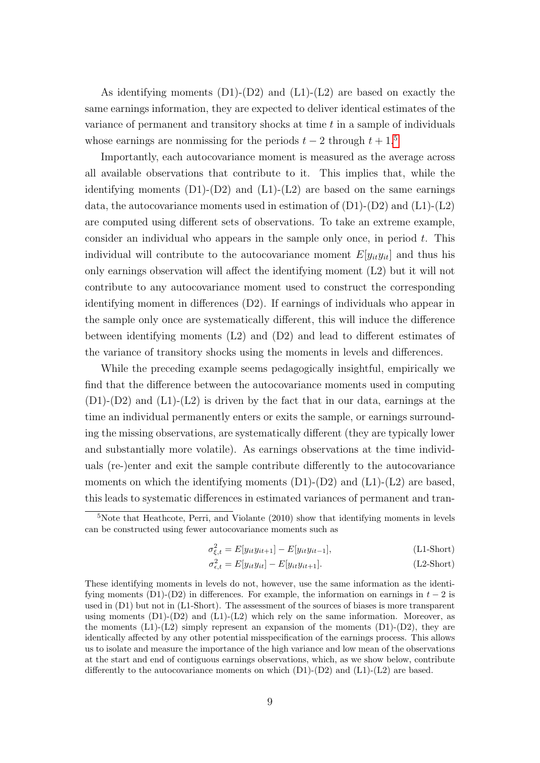As identifying moments  $(D1)-(D2)$  and  $(L1)-(L2)$  are based on exactly the same earnings information, they are expected to deliver identical estimates of the variance of permanent and transitory shocks at time t in a sample of individuals whose earnings are nonmissing for the periods  $t - 2$  through  $t + 1$ .<sup>[5](#page-0-0)</sup>

Importantly, each autocovariance moment is measured as the average across all available observations that contribute to it. This implies that, while the identifying moments  $(D1)-(D2)$  and  $(L1)-(L2)$  are based on the same earnings data, the autocovariance moments used in estimation of  $(D1)-(D2)$  and  $(L1)-(L2)$ are computed using different sets of observations. To take an extreme example, consider an individual who appears in the sample only once, in period  $t$ . This individual will contribute to the autocovariance moment  $E[y_{it}y_{it}]$  and thus his only earnings observation will affect the identifying moment (L2) but it will not contribute to any autocovariance moment used to construct the corresponding identifying moment in differences (D2). If earnings of individuals who appear in the sample only once are systematically different, this will induce the difference between identifying moments  $(L2)$  and  $(D2)$  and lead to different estimates of the variance of transitory shocks using the moments in levels and differences.

While the preceding example seems pedagogically insightful, empirically we find that the difference between the autocovariance moments used in computing  $(D1)-(D2)$  and  $(L1)-(L2)$  is driven by the fact that in our data, earnings at the time an individual permanently enters or exits the sample, or earnings surrounding the missing observations, are systematically different (they are typically lower and substantially more volatile). As earnings observations at the time individuals (re-)enter and exit the sample contribute differently to the autocovariance moments on which the identifying moments  $(D1)-(D2)$  and  $(L1)-(L2)$  are based, this leads to systematic differences in estimated variances of permanent and tran-

$$
\sigma_{\xi,t}^2 = E[y_{it}y_{it+1}] - E[y_{it}y_{it-1}], \qquad (L1\text{-Short})
$$

$$
\sigma_{\epsilon,t}^2 = E[y_{it}y_{it}] - E[y_{it}y_{it+1}].
$$
\n(L2-Short)

 $5$ Note that Heathcote, Perri, and Violante (2010) show that identifying moments in levels can be constructed using fewer autocovariance moments such as

These identifying moments in levels do not, however, use the same information as the identifying moments (D1)-(D2) in differences. For example, the information on earnings in  $t-2$  is used in (D1) but not in (L1-Short). The assessment of the sources of biases is more transparent using moments  $(D1)-(D2)$  and  $(L1)-(L2)$  which rely on the same information. Moreover, as the moments  $(L1)-(L2)$  simply represent an expansion of the moments  $(D1)-(D2)$ , they are identically affected by any other potential misspecification of the earnings process. This allows us to isolate and measure the importance of the high variance and low mean of the observations at the start and end of contiguous earnings observations, which, as we show below, contribute differently to the autocovariance moments on which  $(D1)-(D2)$  and  $(L1)-(L2)$  are based.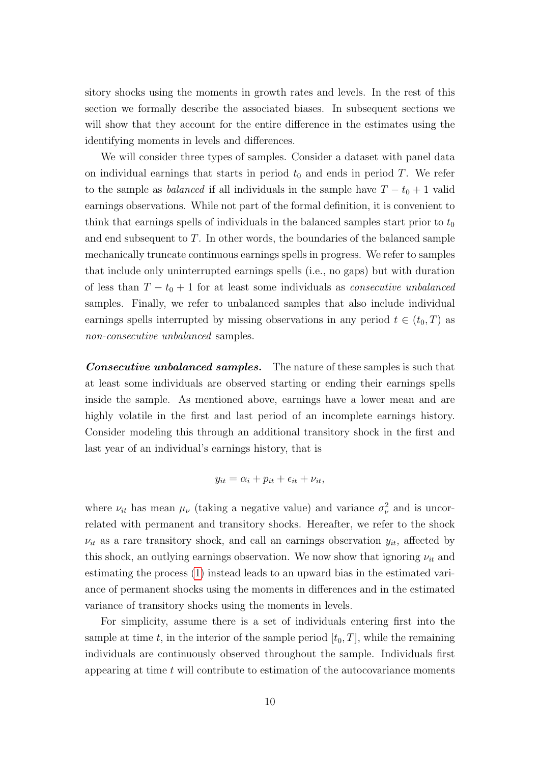sitory shocks using the moments in growth rates and levels. In the rest of this section we formally describe the associated biases. In subsequent sections we will show that they account for the entire difference in the estimates using the identifying moments in levels and differences.

We will consider three types of samples. Consider a dataset with panel data on individual earnings that starts in period  $t_0$  and ends in period T. We refer to the sample as *balanced* if all individuals in the sample have  $T - t_0 + 1$  valid earnings observations. While not part of the formal definition, it is convenient to think that earnings spells of individuals in the balanced samples start prior to  $t_0$ and end subsequent to T. In other words, the boundaries of the balanced sample mechanically truncate continuous earnings spells in progress. We refer to samples that include only uninterrupted earnings spells (i.e., no gaps) but with duration of less than  $T - t_0 + 1$  for at least some individuals as *consecutive unbalanced* samples. Finally, we refer to unbalanced samples that also include individual earnings spells interrupted by missing observations in any period  $t \in (t_0, T)$  as non-consecutive unbalanced samples.

**Consecutive unbalanced samples.** The nature of these samples is such that at least some individuals are observed starting or ending their earnings spells inside the sample. As mentioned above, earnings have a lower mean and are highly volatile in the first and last period of an incomplete earnings history. Consider modeling this through an additional transitory shock in the first and last year of an individual's earnings history, that is

$$
y_{it} = \alpha_i + p_{it} + \epsilon_{it} + \nu_{it},
$$

where  $\nu_{it}$  has mean  $\mu_{\nu}$  (taking a negative value) and variance  $\sigma_{\nu}^2$  and is uncorrelated with permanent and transitory shocks. Hereafter, we refer to the shock  $\nu_{it}$  as a rare transitory shock, and call an earnings observation  $y_{it}$ , affected by this shock, an outlying earnings observation. We now show that ignoring  $\nu_{it}$  and estimating the process [\(1\)](#page-1-0) instead leads to an upward bias in the estimated variance of permanent shocks using the moments in differences and in the estimated variance of transitory shocks using the moments in levels.

For simplicity, assume there is a set of individuals entering first into the sample at time t, in the interior of the sample period  $[t_0, T]$ , while the remaining individuals are continuously observed throughout the sample. Individuals first appearing at time  $t$  will contribute to estimation of the autocovariance moments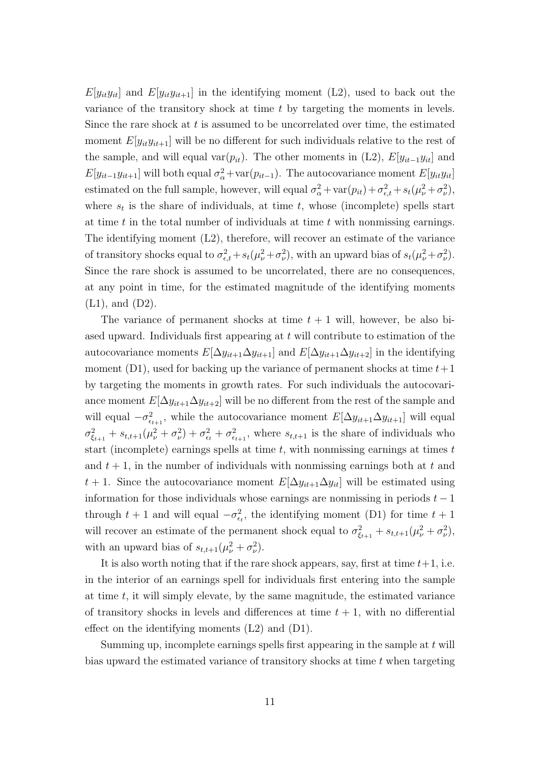$E[y_i y_{it}]$  and  $E[y_i y_{it+1}]$  in the identifying moment (L2), used to back out the variance of the transitory shock at time  $t$  by targeting the moments in levels. Since the rare shock at  $t$  is assumed to be uncorrelated over time, the estimated moment  $E[y_{it}y_{it+1}]$  will be no different for such individuals relative to the rest of the sample, and will equal var $(p_{it})$ . The other moments in  $(L2)$ ,  $E[y_{it-1}y_{it}]$  and  $E[y_{it-1}y_{it+1}]$  will both equal  $\sigma_{\alpha}^2$ +var $(p_{it-1})$ . The autocovariance moment  $E[y_{it}y_{it}]$ estimated on the full sample, however, will equal  $\sigma_{\alpha}^2 + \text{var}(p_{it}) + \sigma_{\epsilon,t}^2 + s_t(\mu_{\nu}^2 + \sigma_{\nu}^2)$ , where  $s_t$  is the share of individuals, at time t, whose (incomplete) spells start at time  $t$  in the total number of individuals at time  $t$  with nonmissing earnings. The identifying moment (L2), therefore, will recover an estimate of the variance of transitory shocks equal to  $\sigma_{\epsilon,t}^2 + s_t(\mu_\nu^2 + \sigma_\nu^2)$ , with an upward bias of  $s_t(\mu_\nu^2 + \sigma_\nu^2)$ . Since the rare shock is assumed to be uncorrelated, there are no consequences, at any point in time, for the estimated magnitude of the identifying moments (L1), and (D2).

The variance of permanent shocks at time  $t + 1$  will, however, be also biased upward. Individuals first appearing at t will contribute to estimation of the autocovariance moments  $E[\Delta y_{it+1} \Delta y_{it+1}]$  and  $E[\Delta y_{it+1} \Delta y_{it+2}]$  in the identifying moment (D1), used for backing up the variance of permanent shocks at time  $t+1$ by targeting the moments in growth rates. For such individuals the autocovariance moment  $E[\Delta y_{it+1} \Delta y_{it+2}]$  will be no different from the rest of the sample and will equal  $-\sigma_{\epsilon_{t+1}}^2$ , while the autocovariance moment  $E[\Delta y_{it+1} \Delta y_{it+1}]$  will equal  $\sigma_{\xi_{t+1}}^2 + s_{t,t+1}(\mu_\nu^2 + \sigma_\nu^2) + \sigma_{\epsilon_t}^2 + \sigma_{\epsilon_{t+1}}^2$ , where  $s_{t,t+1}$  is the share of individuals who start (incomplete) earnings spells at time  $t$ , with nonmissing earnings at times  $t$ and  $t + 1$ , in the number of individuals with nonmissing earnings both at t and t + 1. Since the autocovariance moment  $E[\Delta y_{it+1} \Delta y_{it}]$  will be estimated using information for those individuals whose earnings are nonmissing in periods  $t - 1$ through  $t + 1$  and will equal  $-\sigma_{\epsilon_t}^2$ , the identifying moment (D1) for time  $t + 1$ will recover an estimate of the permanent shock equal to  $\sigma_{\xi_{t+1}}^2 + s_{t,t+1}(\mu_\nu^2 + \sigma_\nu^2)$ , with an upward bias of  $s_{t,t+1}(\mu_\nu^2 + \sigma_\nu^2)$ .

It is also worth noting that if the rare shock appears, say, first at time  $t+1$ , i.e. in the interior of an earnings spell for individuals first entering into the sample at time t, it will simply elevate, by the same magnitude, the estimated variance of transitory shocks in levels and differences at time  $t + 1$ , with no differential effect on the identifying moments (L2) and (D1).

Summing up, incomplete earnings spells first appearing in the sample at  $t$  will bias upward the estimated variance of transitory shocks at time t when targeting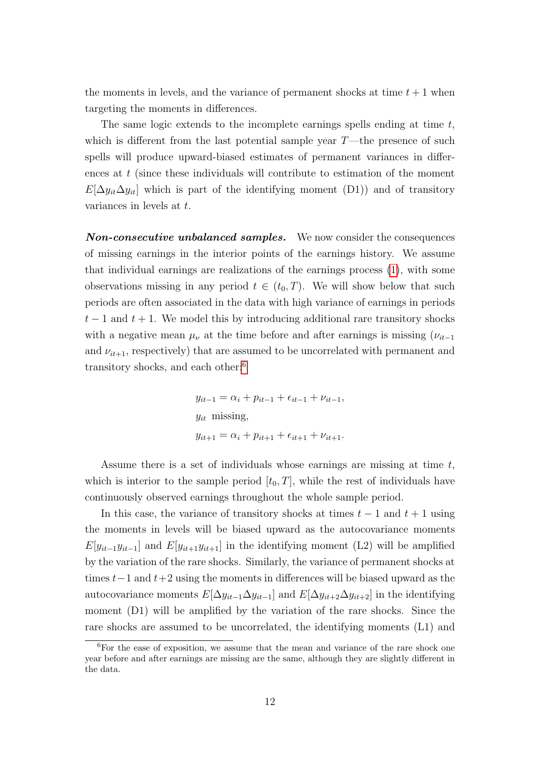the moments in levels, and the variance of permanent shocks at time  $t + 1$  when targeting the moments in differences.

The same logic extends to the incomplete earnings spells ending at time  $t$ , which is different from the last potential sample year  $T$ —the presence of such spells will produce upward-biased estimates of permanent variances in differences at t (since these individuals will contribute to estimation of the moment  $E[\Delta y_{it}\Delta y_{it}]$  which is part of the identifying moment (D1)) and of transitory variances in levels at t.

Non-consecutive unbalanced samples. We now consider the consequences of missing earnings in the interior points of the earnings history. We assume that individual earnings are realizations of the earnings process [\(1\)](#page-1-0), with some observations missing in any period  $t \in (t_0, T)$ . We will show below that such periods are often associated in the data with high variance of earnings in periods  $t-1$  and  $t+1$ . We model this by introducing additional rare transitory shocks with a negative mean  $\mu_{\nu}$  at the time before and after earnings is missing  $(\nu_{it-1})$ and  $\nu_{it+1}$ , respectively) that are assumed to be uncorrelated with permanent and transitory shocks, and each other:[6](#page-0-0)

$$
y_{it-1} = \alpha_i + p_{it-1} + \epsilon_{it-1} + \nu_{it-1},
$$
  

$$
y_{it} \text{ missing},
$$
  

$$
y_{it+1} = \alpha_i + p_{it+1} + \epsilon_{it+1} + \nu_{it+1}.
$$

Assume there is a set of individuals whose earnings are missing at time t, which is interior to the sample period  $[t_0, T]$ , while the rest of individuals have continuously observed earnings throughout the whole sample period.

In this case, the variance of transitory shocks at times  $t-1$  and  $t+1$  using the moments in levels will be biased upward as the autocovariance moments  $E[y_{it-1}y_{it-1}]$  and  $E[y_{it+1}y_{it+1}]$  in the identifying moment (L2) will be amplified by the variation of the rare shocks. Similarly, the variance of permanent shocks at times  $t-1$  and  $t+2$  using the moments in differences will be biased upward as the autocovariance moments  $E[\Delta y_{it-1} \Delta y_{it-1}]$  and  $E[\Delta y_{it+2} \Delta y_{it+2}]$  in the identifying moment (D1) will be amplified by the variation of the rare shocks. Since the rare shocks are assumed to be uncorrelated, the identifying moments (L1) and

 ${}^{6}$ For the ease of exposition, we assume that the mean and variance of the rare shock one year before and after earnings are missing are the same, although they are slightly different in the data.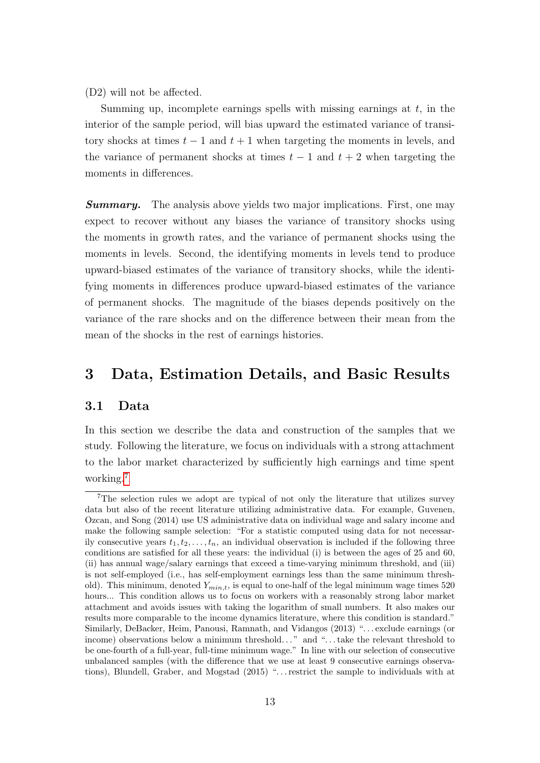(D2) will not be affected.

Summing up, incomplete earnings spells with missing earnings at  $t$ , in the interior of the sample period, will bias upward the estimated variance of transitory shocks at times  $t-1$  and  $t+1$  when targeting the moments in levels, and the variance of permanent shocks at times  $t - 1$  and  $t + 2$  when targeting the moments in differences.

**Summary.** The analysis above yields two major implications. First, one may expect to recover without any biases the variance of transitory shocks using the moments in growth rates, and the variance of permanent shocks using the moments in levels. Second, the identifying moments in levels tend to produce upward-biased estimates of the variance of transitory shocks, while the identifying moments in differences produce upward-biased estimates of the variance of permanent shocks. The magnitude of the biases depends positively on the variance of the rare shocks and on the difference between their mean from the mean of the shocks in the rest of earnings histories.

## <span id="page-12-0"></span>3 Data, Estimation Details, and Basic Results

### 3.1 Data

In this section we describe the data and construction of the samples that we study. Following the literature, we focus on individuals with a strong attachment to the labor market characterized by sufficiently high earnings and time spent working.[7](#page-0-0)

<sup>7</sup>The selection rules we adopt are typical of not only the literature that utilizes survey data but also of the recent literature utilizing administrative data. For example, Guvenen, Ozcan, and Song (2014) use US administrative data on individual wage and salary income and make the following sample selection: "For a statistic computed using data for not necessarily consecutive years  $t_1, t_2, \ldots, t_n$ , an individual observation is included if the following three conditions are satisfied for all these years: the individual (i) is between the ages of 25 and 60, (ii) has annual wage/salary earnings that exceed a time-varying minimum threshold, and (iii) is not self-employed (i.e., has self-employment earnings less than the same minimum threshold). This minimum, denoted  $Y_{min,t}$ , is equal to one-half of the legal minimum wage times 520 hours... This condition allows us to focus on workers with a reasonably strong labor market attachment and avoids issues with taking the logarithm of small numbers. It also makes our results more comparable to the income dynamics literature, where this condition is standard." Similarly, DeBacker, Heim, Panousi, Ramnath, and Vidangos (2013) ". . . exclude earnings (or income) observations below a minimum threshold..." and "...take the relevant threshold to be one-fourth of a full-year, full-time minimum wage." In line with our selection of consecutive unbalanced samples (with the difference that we use at least 9 consecutive earnings observations), Blundell, Graber, and Mogstad (2015) ". . . restrict the sample to individuals with at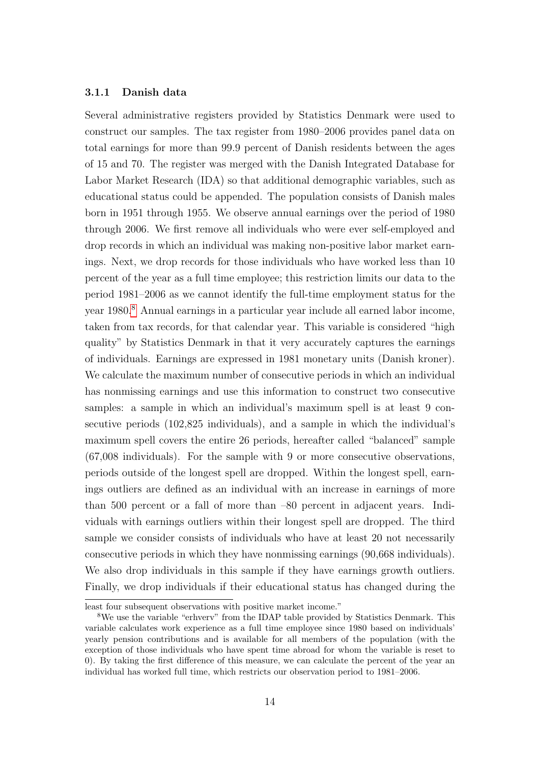#### 3.1.1 Danish data

Several administrative registers provided by Statistics Denmark were used to construct our samples. The tax register from 1980–2006 provides panel data on total earnings for more than 99.9 percent of Danish residents between the ages of 15 and 70. The register was merged with the Danish Integrated Database for Labor Market Research (IDA) so that additional demographic variables, such as educational status could be appended. The population consists of Danish males born in 1951 through 1955. We observe annual earnings over the period of 1980 through 2006. We first remove all individuals who were ever self-employed and drop records in which an individual was making non-positive labor market earnings. Next, we drop records for those individuals who have worked less than 10 percent of the year as a full time employee; this restriction limits our data to the period 1981–2006 as we cannot identify the full-time employment status for the year 1980.[8](#page-0-0) Annual earnings in a particular year include all earned labor income, taken from tax records, for that calendar year. This variable is considered "high quality" by Statistics Denmark in that it very accurately captures the earnings of individuals. Earnings are expressed in 1981 monetary units (Danish kroner). We calculate the maximum number of consecutive periods in which an individual has nonmissing earnings and use this information to construct two consecutive samples: a sample in which an individual's maximum spell is at least 9 consecutive periods (102,825 individuals), and a sample in which the individual's maximum spell covers the entire 26 periods, hereafter called "balanced" sample (67,008 individuals). For the sample with 9 or more consecutive observations, periods outside of the longest spell are dropped. Within the longest spell, earnings outliers are defined as an individual with an increase in earnings of more than 500 percent or a fall of more than –80 percent in adjacent years. Individuals with earnings outliers within their longest spell are dropped. The third sample we consider consists of individuals who have at least 20 not necessarily consecutive periods in which they have nonmissing earnings (90,668 individuals). We also drop individuals in this sample if they have earnings growth outliers. Finally, we drop individuals if their educational status has changed during the

least four subsequent observations with positive market income."

<sup>8</sup>We use the variable "erhverv" from the IDAP table provided by Statistics Denmark. This variable calculates work experience as a full time employee since 1980 based on individuals' yearly pension contributions and is available for all members of the population (with the exception of those individuals who have spent time abroad for whom the variable is reset to 0). By taking the first difference of this measure, we can calculate the percent of the year an individual has worked full time, which restricts our observation period to 1981–2006.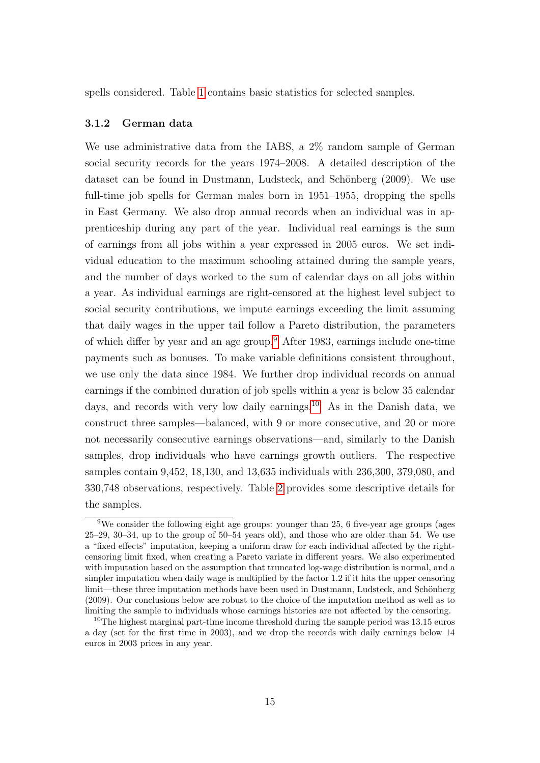spells considered. Table [1](#page-36-0) contains basic statistics for selected samples.

#### 3.1.2 German data

We use administrative data from the IABS, a 2% random sample of German social security records for the years 1974–2008. A detailed description of the dataset can be found in Dustmann, Ludsteck, and Schönberg (2009). We use full-time job spells for German males born in 1951–1955, dropping the spells in East Germany. We also drop annual records when an individual was in apprenticeship during any part of the year. Individual real earnings is the sum of earnings from all jobs within a year expressed in 2005 euros. We set individual education to the maximum schooling attained during the sample years, and the number of days worked to the sum of calendar days on all jobs within a year. As individual earnings are right-censored at the highest level subject to social security contributions, we impute earnings exceeding the limit assuming that daily wages in the upper tail follow a Pareto distribution, the parameters of which differ by year and an age group.[9](#page-0-0) After 1983, earnings include one-time payments such as bonuses. To make variable definitions consistent throughout, we use only the data since 1984. We further drop individual records on annual earnings if the combined duration of job spells within a year is below 35 calendar days, and records with very low daily earnings.<sup>[10](#page-0-0)</sup> As in the Danish data, we construct three samples—balanced, with 9 or more consecutive, and 20 or more not necessarily consecutive earnings observations—and, similarly to the Danish samples, drop individuals who have earnings growth outliers. The respective samples contain 9,452, 18,130, and 13,635 individuals with 236,300, 379,080, and 330,748 observations, respectively. Table [2](#page-37-0) provides some descriptive details for the samples.

 $9$ We consider the following eight age groups: younger than 25, 6 five-year age groups (ages 25–29, 30–34, up to the group of 50–54 years old), and those who are older than 54. We use a "fixed effects" imputation, keeping a uniform draw for each individual affected by the rightcensoring limit fixed, when creating a Pareto variate in different years. We also experimented with imputation based on the assumption that truncated log-wage distribution is normal, and a simpler imputation when daily wage is multiplied by the factor 1.2 if it hits the upper censoring limit—these three imputation methods have been used in Dustmann, Ludsteck, and Schönberg (2009). Our conclusions below are robust to the choice of the imputation method as well as to limiting the sample to individuals whose earnings histories are not affected by the censoring.

<sup>&</sup>lt;sup>10</sup>The highest marginal part-time income threshold during the sample period was  $13.15$  euros a day (set for the first time in 2003), and we drop the records with daily earnings below 14 euros in 2003 prices in any year.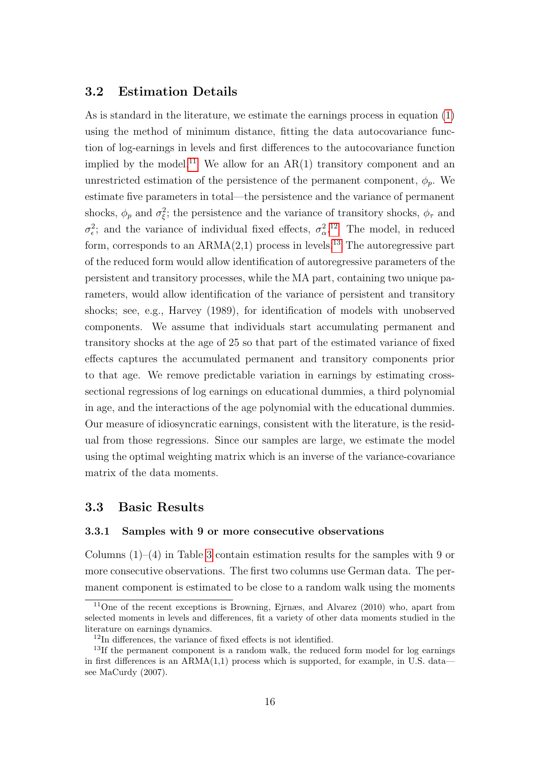### 3.2 Estimation Details

As is standard in the literature, we estimate the earnings process in equation [\(1\)](#page-1-0) using the method of minimum distance, fitting the data autocovariance function of log-earnings in levels and first differences to the autocovariance function implied by the model.<sup>[11](#page-0-0)</sup> We allow for an  $AR(1)$  transitory component and an unrestricted estimation of the persistence of the permanent component,  $\phi_p$ . We estimate five parameters in total—the persistence and the variance of permanent shocks,  $\phi_p$  and  $\sigma_{\xi}^2$ ; the persistence and the variance of transitory shocks,  $\phi_{\tau}$  and  $\sigma_{\epsilon}^2$ ; and the variance of individual fixed effects,  $\sigma_{\alpha}^2$ <sup>[12](#page-0-0)</sup>. The model, in reduced form, corresponds to an  $ARMA(2,1)$  process in levels.<sup>[13](#page-0-0)</sup> The autoregressive part of the reduced form would allow identification of autoregressive parameters of the persistent and transitory processes, while the MA part, containing two unique parameters, would allow identification of the variance of persistent and transitory shocks; see, e.g., Harvey (1989), for identification of models with unobserved components. We assume that individuals start accumulating permanent and transitory shocks at the age of 25 so that part of the estimated variance of fixed effects captures the accumulated permanent and transitory components prior to that age. We remove predictable variation in earnings by estimating crosssectional regressions of log earnings on educational dummies, a third polynomial in age, and the interactions of the age polynomial with the educational dummies. Our measure of idiosyncratic earnings, consistent with the literature, is the residual from those regressions. Since our samples are large, we estimate the model using the optimal weighting matrix which is an inverse of the variance-covariance matrix of the data moments.

#### 3.3 Basic Results

#### 3.3.1 Samples with 9 or more consecutive observations

Columns  $(1)$ – $(4)$  in Table [3](#page-38-0) contain estimation results for the samples with 9 or more consecutive observations. The first two columns use German data. The permanent component is estimated to be close to a random walk using the moments

<sup>11</sup>One of the recent exceptions is Browning, Ejrnæs, and Alvarez (2010) who, apart from selected moments in levels and differences, fit a variety of other data moments studied in the literature on earnings dynamics.

<sup>12</sup>In differences, the variance of fixed effects is not identified.

<sup>&</sup>lt;sup>13</sup>If the permanent component is a random walk, the reduced form model for log earnings in first differences is an  $ARMA(1,1)$  process which is supported, for example, in U.S. data see MaCurdy (2007).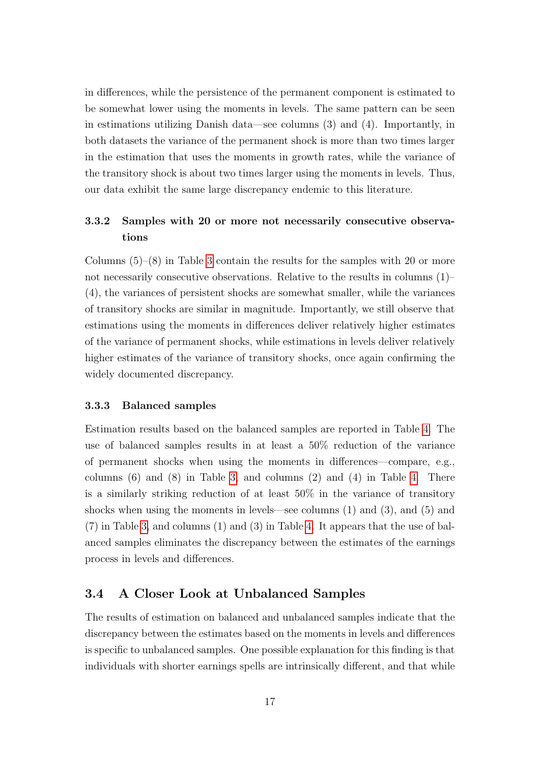in differences, while the persistence of the permanent component is estimated to be somewhat lower using the moments in levels. The same pattern can be seen in estimations utilizing Danish data—see columns (3) and (4). Importantly, in both datasets the variance of the permanent shock is more than two times larger in the estimation that uses the moments in growth rates, while the variance of the transitory shock is about two times larger using the moments in levels. Thus, our data exhibit the same large discrepancy endemic to this literature.

### 3.3.2 Samples with 20 or more not necessarily consecutive observations

Columns  $(5)-(8)$  in Table [3](#page-38-0) contain the results for the samples with 20 or more not necessarily consecutive observations. Relative to the results in columns (1)– (4), the variances of persistent shocks are somewhat smaller, while the variances of transitory shocks are similar in magnitude. Importantly, we still observe that estimations using the moments in differences deliver relatively higher estimates of the variance of permanent shocks, while estimations in levels deliver relatively higher estimates of the variance of transitory shocks, once again confirming the widely documented discrepancy.

#### 3.3.3 Balanced samples

Estimation results based on the balanced samples are reported in Table [4.](#page-39-0) The use of balanced samples results in at least a 50% reduction of the variance of permanent shocks when using the moments in differences—compare, e.g., columns  $(6)$  and  $(8)$  in Table [3,](#page-38-0) and columns  $(2)$  and  $(4)$  in Table [4.](#page-39-0) There is a similarly striking reduction of at least 50% in the variance of transitory shocks when using the moments in levels—see columns (1) and (3), and (5) and (7) in Table [3,](#page-38-0) and columns (1) and (3) in Table [4.](#page-39-0) It appears that the use of balanced samples eliminates the discrepancy between the estimates of the earnings process in levels and differences.

### 3.4 A Closer Look at Unbalanced Samples

The results of estimation on balanced and unbalanced samples indicate that the discrepancy between the estimates based on the moments in levels and differences is specific to unbalanced samples. One possible explanation for this finding is that individuals with shorter earnings spells are intrinsically different, and that while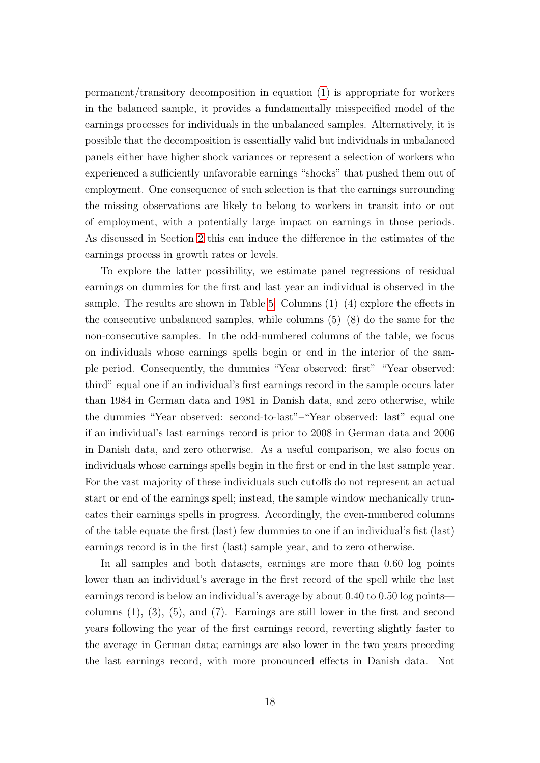permanent/transitory decomposition in equation [\(1\)](#page-1-0) is appropriate for workers in the balanced sample, it provides a fundamentally misspecified model of the earnings processes for individuals in the unbalanced samples. Alternatively, it is possible that the decomposition is essentially valid but individuals in unbalanced panels either have higher shock variances or represent a selection of workers who experienced a sufficiently unfavorable earnings "shocks" that pushed them out of employment. One consequence of such selection is that the earnings surrounding the missing observations are likely to belong to workers in transit into or out of employment, with a potentially large impact on earnings in those periods. As discussed in Section [2](#page-7-0) this can induce the difference in the estimates of the earnings process in growth rates or levels.

To explore the latter possibility, we estimate panel regressions of residual earnings on dummies for the first and last year an individual is observed in the sample. The results are shown in Table [5.](#page-40-0) Columns  $(1)$ – $(4)$  explore the effects in the consecutive unbalanced samples, while columns  $(5)-(8)$  do the same for the non-consecutive samples. In the odd-numbered columns of the table, we focus on individuals whose earnings spells begin or end in the interior of the sample period. Consequently, the dummies "Year observed: first"–"Year observed: third" equal one if an individual's first earnings record in the sample occurs later than 1984 in German data and 1981 in Danish data, and zero otherwise, while the dummies "Year observed: second-to-last"–"Year observed: last" equal one if an individual's last earnings record is prior to 2008 in German data and 2006 in Danish data, and zero otherwise. As a useful comparison, we also focus on individuals whose earnings spells begin in the first or end in the last sample year. For the vast majority of these individuals such cutoffs do not represent an actual start or end of the earnings spell; instead, the sample window mechanically truncates their earnings spells in progress. Accordingly, the even-numbered columns of the table equate the first (last) few dummies to one if an individual's fist (last) earnings record is in the first (last) sample year, and to zero otherwise.

In all samples and both datasets, earnings are more than 0.60 log points lower than an individual's average in the first record of the spell while the last earnings record is below an individual's average by about 0.40 to 0.50 log points columns  $(1)$ ,  $(3)$ ,  $(5)$ , and  $(7)$ . Earnings are still lower in the first and second years following the year of the first earnings record, reverting slightly faster to the average in German data; earnings are also lower in the two years preceding the last earnings record, with more pronounced effects in Danish data. Not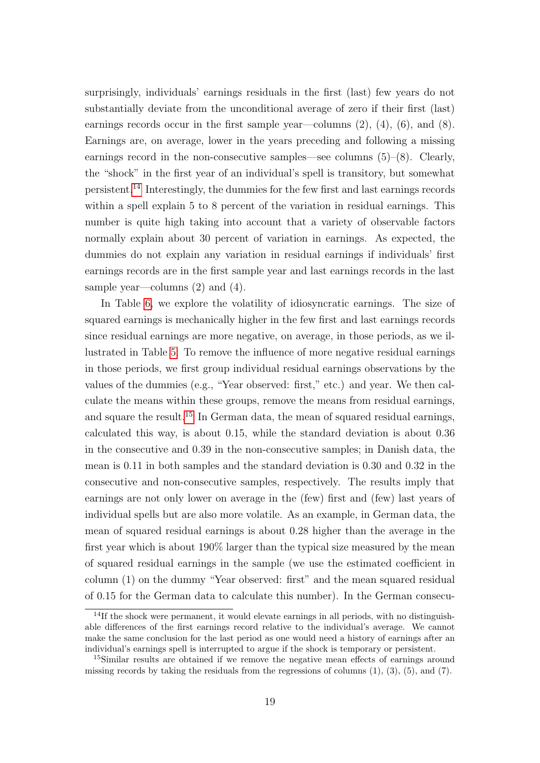surprisingly, individuals' earnings residuals in the first (last) few years do not substantially deviate from the unconditional average of zero if their first (last) earnings records occur in the first sample year—columns  $(2)$ ,  $(4)$ ,  $(6)$ , and  $(8)$ . Earnings are, on average, lower in the years preceding and following a missing earnings record in the non-consecutive samples—see columns  $(5)-(8)$ . Clearly, the "shock" in the first year of an individual's spell is transitory, but somewhat persistent.[14](#page-0-0) Interestingly, the dummies for the few first and last earnings records within a spell explain 5 to 8 percent of the variation in residual earnings. This number is quite high taking into account that a variety of observable factors normally explain about 30 percent of variation in earnings. As expected, the dummies do not explain any variation in residual earnings if individuals' first earnings records are in the first sample year and last earnings records in the last sample year—columns  $(2)$  and  $(4)$ .

In Table [6,](#page-41-0) we explore the volatility of idiosyncratic earnings. The size of squared earnings is mechanically higher in the few first and last earnings records since residual earnings are more negative, on average, in those periods, as we illustrated in Table [5.](#page-40-0) To remove the influence of more negative residual earnings in those periods, we first group individual residual earnings observations by the values of the dummies (e.g., "Year observed: first," etc.) and year. We then calculate the means within these groups, remove the means from residual earnings, and square the result.[15](#page-0-0) In German data, the mean of squared residual earnings, calculated this way, is about 0.15, while the standard deviation is about 0.36 in the consecutive and 0.39 in the non-consecutive samples; in Danish data, the mean is 0.11 in both samples and the standard deviation is 0.30 and 0.32 in the consecutive and non-consecutive samples, respectively. The results imply that earnings are not only lower on average in the (few) first and (few) last years of individual spells but are also more volatile. As an example, in German data, the mean of squared residual earnings is about 0.28 higher than the average in the first year which is about 190% larger than the typical size measured by the mean of squared residual earnings in the sample (we use the estimated coefficient in column (1) on the dummy "Year observed: first" and the mean squared residual of 0.15 for the German data to calculate this number). In the German consecu-

<sup>14</sup>If the shock were permanent, it would elevate earnings in all periods, with no distinguishable differences of the first earnings record relative to the individual's average. We cannot make the same conclusion for the last period as one would need a history of earnings after an individual's earnings spell is interrupted to argue if the shock is temporary or persistent.

<sup>15</sup>Similar results are obtained if we remove the negative mean effects of earnings around missing records by taking the residuals from the regressions of columns  $(1)$ ,  $(3)$ ,  $(5)$ , and  $(7)$ .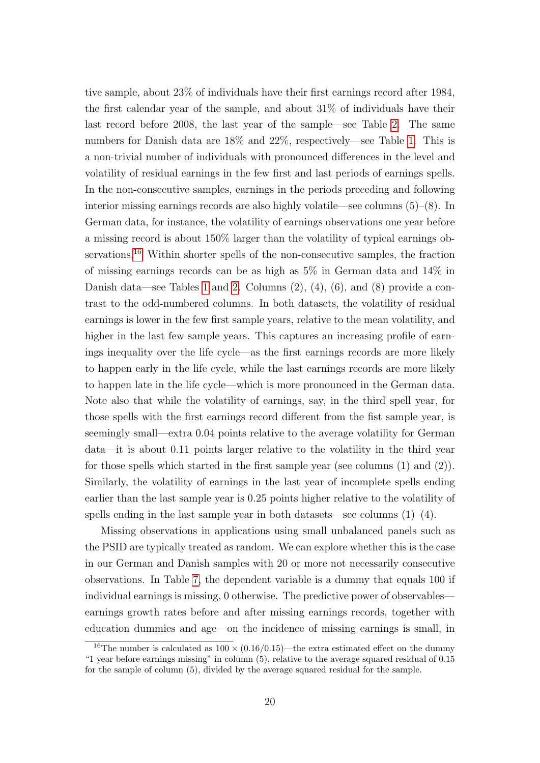tive sample, about 23% of individuals have their first earnings record after 1984, the first calendar year of the sample, and about 31% of individuals have their last record before 2008, the last year of the sample—see Table [2.](#page-37-0) The same numbers for Danish data are 18% and 22%, respectively—see Table [1.](#page-36-0) This is a non-trivial number of individuals with pronounced differences in the level and volatility of residual earnings in the few first and last periods of earnings spells. In the non-consecutive samples, earnings in the periods preceding and following interior missing earnings records are also highly volatile—see columns (5)–(8). In German data, for instance, the volatility of earnings observations one year before a missing record is about 150% larger than the volatility of typical earnings observations.[16](#page-0-0) Within shorter spells of the non-consecutive samples, the fraction of missing earnings records can be as high as 5% in German data and 14% in Danish data—see Tables [1](#page-36-0) and [2.](#page-37-0) Columns (2), (4), (6), and (8) provide a contrast to the odd-numbered columns. In both datasets, the volatility of residual earnings is lower in the few first sample years, relative to the mean volatility, and higher in the last few sample years. This captures an increasing profile of earnings inequality over the life cycle—as the first earnings records are more likely to happen early in the life cycle, while the last earnings records are more likely to happen late in the life cycle—which is more pronounced in the German data. Note also that while the volatility of earnings, say, in the third spell year, for those spells with the first earnings record different from the fist sample year, is seemingly small—extra 0.04 points relative to the average volatility for German data—it is about 0.11 points larger relative to the volatility in the third year for those spells which started in the first sample year (see columns (1) and (2)). Similarly, the volatility of earnings in the last year of incomplete spells ending earlier than the last sample year is 0.25 points higher relative to the volatility of spells ending in the last sample year in both datasets—see columns  $(1)-(4)$ .

Missing observations in applications using small unbalanced panels such as the PSID are typically treated as random. We can explore whether this is the case in our German and Danish samples with 20 or more not necessarily consecutive observations. In Table [7,](#page-42-0) the dependent variable is a dummy that equals 100 if individual earnings is missing, 0 otherwise. The predictive power of observables earnings growth rates before and after missing earnings records, together with education dummies and age—on the incidence of missing earnings is small, in

<sup>&</sup>lt;sup>16</sup>The number is calculated as  $100 \times (0.16/0.15)$ —the extra estimated effect on the dummy "1 year before earnings missing" in column (5), relative to the average squared residual of 0.15 for the sample of column (5), divided by the average squared residual for the sample.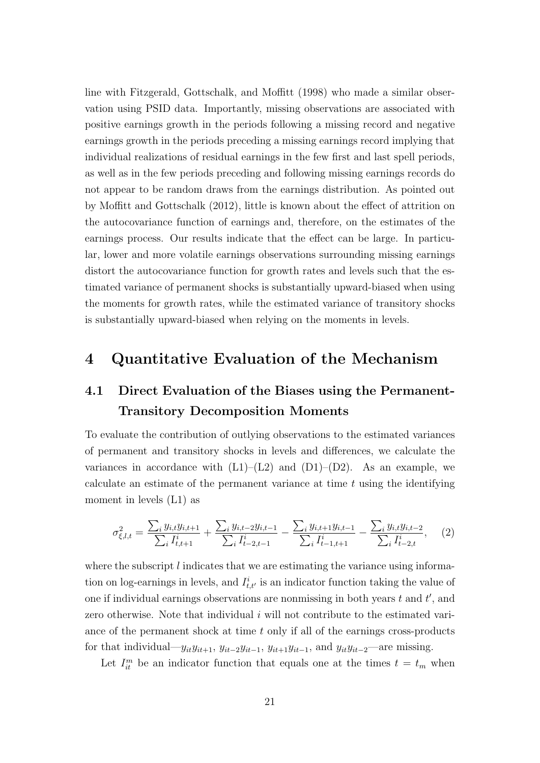line with Fitzgerald, Gottschalk, and Moffitt (1998) who made a similar observation using PSID data. Importantly, missing observations are associated with positive earnings growth in the periods following a missing record and negative earnings growth in the periods preceding a missing earnings record implying that individual realizations of residual earnings in the few first and last spell periods, as well as in the few periods preceding and following missing earnings records do not appear to be random draws from the earnings distribution. As pointed out by Moffitt and Gottschalk (2012), little is known about the effect of attrition on the autocovariance function of earnings and, therefore, on the estimates of the earnings process. Our results indicate that the effect can be large. In particular, lower and more volatile earnings observations surrounding missing earnings distort the autocovariance function for growth rates and levels such that the estimated variance of permanent shocks is substantially upward-biased when using the moments for growth rates, while the estimated variance of transitory shocks is substantially upward-biased when relying on the moments in levels.

## <span id="page-20-0"></span>4 Quantitative Evaluation of the Mechanism

# 4.1 Direct Evaluation of the Biases using the Permanent-Transitory Decomposition Moments

To evaluate the contribution of outlying observations to the estimated variances of permanent and transitory shocks in levels and differences, we calculate the variances in accordance with  $(L1)$ – $(L2)$  and  $(D1)$ – $(D2)$ . As an example, we calculate an estimate of the permanent variance at time  $t$  using the identifying moment in levels (L1) as

<span id="page-20-1"></span>
$$
\sigma_{\xi,l,t}^2 = \frac{\sum_i y_{i,t} y_{i,t+1}}{\sum_i I_{t,t+1}^i} + \frac{\sum_i y_{i,t-2} y_{i,t-1}}{\sum_i I_{t-2,t-1}^i} - \frac{\sum_i y_{i,t+1} y_{i,t-1}}{\sum_i I_{t-1,t+1}^i} - \frac{\sum_i y_{i,t} y_{i,t-2}}{\sum_i I_{t-2,t}^i},\tag{2}
$$

where the subscript  $l$  indicates that we are estimating the variance using information on log-earnings in levels, and  $I_{t,t'}^{i}$  is an indicator function taking the value of one if individual earnings observations are nonmissing in both years  $t$  and  $t'$ , and zero otherwise. Note that individual  $i$  will not contribute to the estimated variance of the permanent shock at time  $t$  only if all of the earnings cross-products for that individual— $y_{it}y_{it+1}$ ,  $y_{it-2}y_{it-1}$ ,  $y_{it+1}y_{it-1}$ , and  $y_{it}y_{it-2}$ —are missing.

Let  $I_{it}^{m}$  be an indicator function that equals one at the times  $t = t_m$  when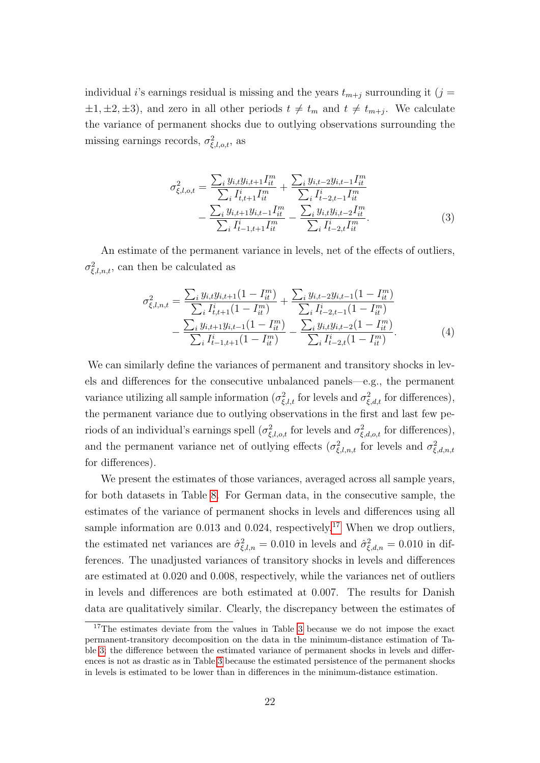individual *i*'s earnings residual is missing and the years  $t_{m+j}$  surrounding it (j =  $\pm 1, \pm 2, \pm 3$ , and zero in all other periods  $t \neq t_m$  and  $t \neq t_{m+j}$ . We calculate the variance of permanent shocks due to outlying observations surrounding the missing earnings records,  $\sigma_{\xi,l,o,t}^2$ , as

$$
\sigma_{\xi,l,o,t}^{2} = \frac{\sum_{i} y_{i,t} y_{i,t+1} I_{it}^{m}}{\sum_{i} I_{t,t+1}^{i} I_{it}^{m}} + \frac{\sum_{i} y_{i,t-2} y_{i,t-1} I_{it}^{m}}{\sum_{i} I_{t-2,t-1}^{i} I_{it}^{m}} - \frac{\sum_{i} y_{i,t+1} y_{i,t-1} I_{it}^{m}}{\sum_{i} I_{t-1,t+1}^{i} I_{it}^{m}} - \frac{\sum_{i} y_{i,t} y_{i,t-2} I_{it}^{m}}{\sum_{i} I_{t-2,t}^{i} I_{it}^{m}}.
$$
\n(3)

An estimate of the permanent variance in levels, net of the effects of outliers,  $\sigma_{\xi,l,n,t}^2$ , can then be calculated as

<span id="page-21-0"></span>
$$
\sigma_{\xi,l,n,t}^{2} = \frac{\sum_{i} y_{i,t} y_{i,t+1} (1 - I_{it}^{m})}{\sum_{i} I_{t,t+1}^{i} (1 - I_{it}^{m})} + \frac{\sum_{i} y_{i,t-2} y_{i,t-1} (1 - I_{it}^{m})}{\sum_{i} I_{t-2,t-1}^{i} (1 - I_{it}^{m})} - \frac{\sum_{i} y_{i,t+1} y_{i,t-1} (1 - I_{it}^{m})}{\sum_{i} I_{t-1,t+1}^{i} (1 - I_{it}^{m})} - \frac{\sum_{i} y_{i,t} y_{i,t-2} (1 - I_{it}^{m})}{\sum_{i} I_{t-2,t}^{i} (1 - I_{it}^{m})}.
$$
\n(4)

We can similarly define the variances of permanent and transitory shocks in levels and differences for the consecutive unbalanced panels—e.g., the permanent variance utilizing all sample information ( $\sigma_{\xi,l,t}^2$  for levels and  $\sigma_{\xi,d,t}^2$  for differences), the permanent variance due to outlying observations in the first and last few periods of an individual's earnings spell  $(\sigma_{\xi,l,o,t}^2$  for levels and  $\sigma_{\xi,d,o,t}^2$  for differences), and the permanent variance net of outlying effects  $(\sigma_{\xi,l,n,t}^2)$  for levels and  $\sigma_{\xi,d,n,t}^2$ for differences).

We present the estimates of those variances, averaged across all sample years, for both datasets in Table [8.](#page-43-0) For German data, in the consecutive sample, the estimates of the variance of permanent shocks in levels and differences using all sample information are 0.013 and 0.024, respectively.<sup>[17](#page-0-0)</sup> When we drop outliers, the estimated net variances are  $\hat{\sigma}^2_{\xi,l,n} = 0.010$  in levels and  $\hat{\sigma}^2_{\xi,d,n} = 0.010$  in differences. The unadjusted variances of transitory shocks in levels and differences are estimated at 0.020 and 0.008, respectively, while the variances net of outliers in levels and differences are both estimated at 0.007. The results for Danish data are qualitatively similar. Clearly, the discrepancy between the estimates of

<sup>&</sup>lt;sup>17</sup>The estimates deviate from the values in Table [3](#page-38-0) because we do not impose the exact permanent-transitory decomposition on the data in the minimum-distance estimation of Table [3;](#page-38-0) the difference between the estimated variance of permanent shocks in levels and differences is not as drastic as in Table [3](#page-38-0) because the estimated persistence of the permanent shocks in levels is estimated to be lower than in differences in the minimum-distance estimation.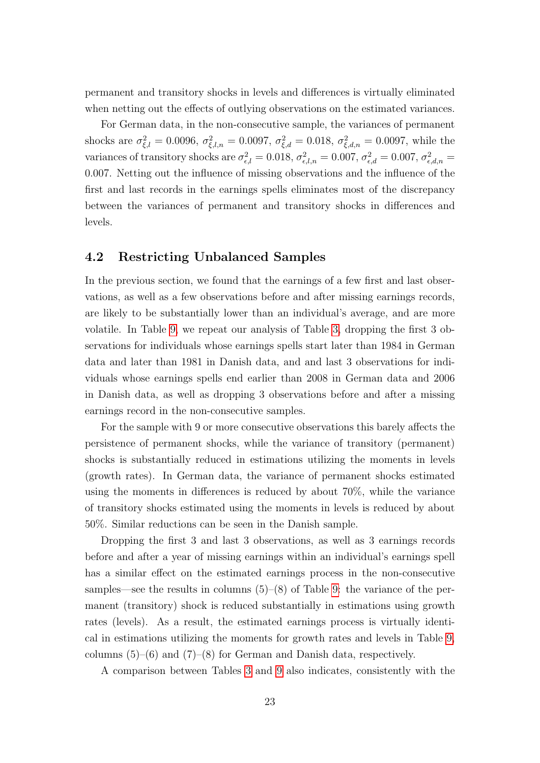permanent and transitory shocks in levels and differences is virtually eliminated when netting out the effects of outlying observations on the estimated variances.

For German data, in the non-consecutive sample, the variances of permanent shocks are  $\sigma_{\xi,l}^2 = 0.0096$ ,  $\sigma_{\xi,l,n}^2 = 0.0097$ ,  $\sigma_{\xi,d}^2 = 0.018$ ,  $\sigma_{\xi,d,n}^2 = 0.0097$ , while the variances of transitory shocks are  $\sigma_{\epsilon,l}^2 = 0.018$ ,  $\sigma_{\epsilon,l,n}^2 = 0.007$ ,  $\sigma_{\epsilon,d}^2 = 0.007$ ,  $\sigma_{\epsilon,d,n}^2 = 0$ 0.007. Netting out the influence of missing observations and the influence of the first and last records in the earnings spells eliminates most of the discrepancy between the variances of permanent and transitory shocks in differences and levels.

### 4.2 Restricting Unbalanced Samples

In the previous section, we found that the earnings of a few first and last observations, as well as a few observations before and after missing earnings records, are likely to be substantially lower than an individual's average, and are more volatile. In Table [9,](#page-44-0) we repeat our analysis of Table [3,](#page-38-0) dropping the first 3 observations for individuals whose earnings spells start later than 1984 in German data and later than 1981 in Danish data, and and last 3 observations for individuals whose earnings spells end earlier than 2008 in German data and 2006 in Danish data, as well as dropping 3 observations before and after a missing earnings record in the non-consecutive samples.

For the sample with 9 or more consecutive observations this barely affects the persistence of permanent shocks, while the variance of transitory (permanent) shocks is substantially reduced in estimations utilizing the moments in levels (growth rates). In German data, the variance of permanent shocks estimated using the moments in differences is reduced by about 70%, while the variance of transitory shocks estimated using the moments in levels is reduced by about 50%. Similar reductions can be seen in the Danish sample.

Dropping the first 3 and last 3 observations, as well as 3 earnings records before and after a year of missing earnings within an individual's earnings spell has a similar effect on the estimated earnings process in the non-consecutive samples—see the results in columns  $(5)-(8)$  of Table [9:](#page-44-0) the variance of the permanent (transitory) shock is reduced substantially in estimations using growth rates (levels). As a result, the estimated earnings process is virtually identical in estimations utilizing the moments for growth rates and levels in Table [9,](#page-44-0) columns  $(5)$ – $(6)$  and  $(7)$ – $(8)$  for German and Danish data, respectively.

A comparison between Tables [3](#page-38-0) and [9](#page-44-0) also indicates, consistently with the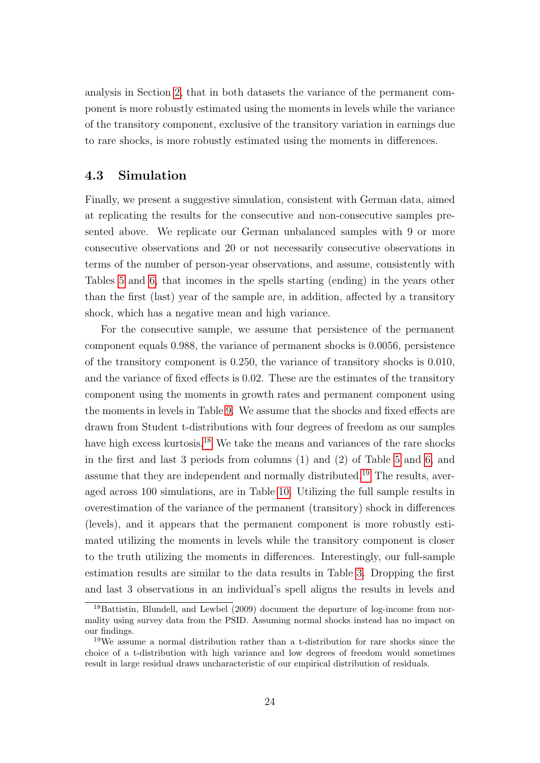analysis in Section [2,](#page-7-0) that in both datasets the variance of the permanent component is more robustly estimated using the moments in levels while the variance of the transitory component, exclusive of the transitory variation in earnings due to rare shocks, is more robustly estimated using the moments in differences.

### 4.3 Simulation

Finally, we present a suggestive simulation, consistent with German data, aimed at replicating the results for the consecutive and non-consecutive samples presented above. We replicate our German unbalanced samples with 9 or more consecutive observations and 20 or not necessarily consecutive observations in terms of the number of person-year observations, and assume, consistently with Tables [5](#page-40-0) and [6,](#page-41-0) that incomes in the spells starting (ending) in the years other than the first (last) year of the sample are, in addition, affected by a transitory shock, which has a negative mean and high variance.

For the consecutive sample, we assume that persistence of the permanent component equals 0.988, the variance of permanent shocks is 0.0056, persistence of the transitory component is 0.250, the variance of transitory shocks is 0.010, and the variance of fixed effects is 0.02. These are the estimates of the transitory component using the moments in growth rates and permanent component using the moments in levels in Table [9.](#page-44-0) We assume that the shocks and fixed effects are drawn from Student t-distributions with four degrees of freedom as our samples have high excess kurtosis.<sup>[18](#page-0-0)</sup> We take the means and variances of the rare shocks in the first and last 3 periods from columns (1) and (2) of Table [5](#page-40-0) and [6,](#page-41-0) and assume that they are independent and normally distributed.<sup>[19](#page-0-0)</sup> The results, averaged across 100 simulations, are in Table [10.](#page-45-0) Utilizing the full sample results in overestimation of the variance of the permanent (transitory) shock in differences (levels), and it appears that the permanent component is more robustly estimated utilizing the moments in levels while the transitory component is closer to the truth utilizing the moments in differences. Interestingly, our full-sample estimation results are similar to the data results in Table [3.](#page-38-0) Dropping the first and last 3 observations in an individual's spell aligns the results in levels and

<sup>&</sup>lt;sup>18</sup>Battistin, Blundell, and Lewbel (2009) document the departure of log-income from normality using survey data from the PSID. Assuming normal shocks instead has no impact on our findings.

<sup>19</sup>We assume a normal distribution rather than a t-distribution for rare shocks since the choice of a t-distribution with high variance and low degrees of freedom would sometimes result in large residual draws uncharacteristic of our empirical distribution of residuals.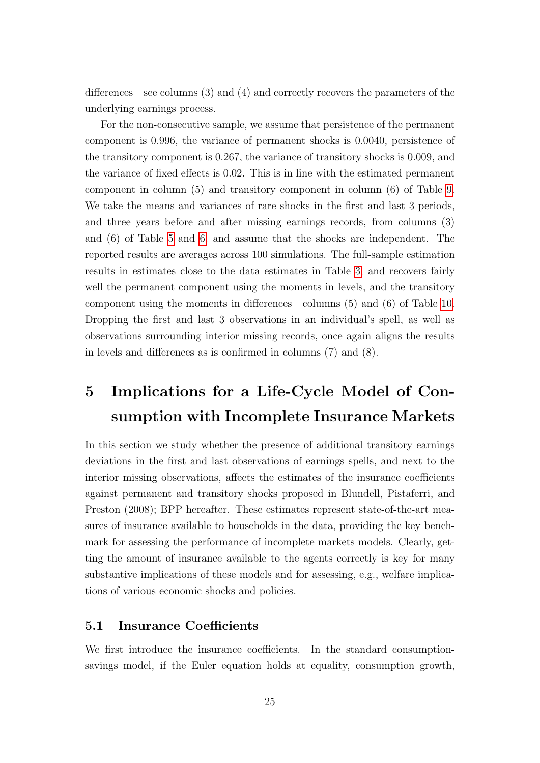differences—see columns (3) and (4) and correctly recovers the parameters of the underlying earnings process.

For the non-consecutive sample, we assume that persistence of the permanent component is 0.996, the variance of permanent shocks is 0.0040, persistence of the transitory component is 0.267, the variance of transitory shocks is 0.009, and the variance of fixed effects is 0.02. This is in line with the estimated permanent component in column (5) and transitory component in column (6) of Table [9.](#page-44-0) We take the means and variances of rare shocks in the first and last 3 periods, and three years before and after missing earnings records, from columns (3) and (6) of Table [5](#page-40-0) and [6,](#page-41-0) and assume that the shocks are independent. The reported results are averages across 100 simulations. The full-sample estimation results in estimates close to the data estimates in Table [3,](#page-38-0) and recovers fairly well the permanent component using the moments in levels, and the transitory component using the moments in differences—columns (5) and (6) of Table [10.](#page-45-0) Dropping the first and last 3 observations in an individual's spell, as well as observations surrounding interior missing records, once again aligns the results in levels and differences as is confirmed in columns (7) and (8).

# <span id="page-24-0"></span>5 Implications for a Life-Cycle Model of Consumption with Incomplete Insurance Markets

In this section we study whether the presence of additional transitory earnings deviations in the first and last observations of earnings spells, and next to the interior missing observations, affects the estimates of the insurance coefficients against permanent and transitory shocks proposed in Blundell, Pistaferri, and Preston (2008); BPP hereafter. These estimates represent state-of-the-art measures of insurance available to households in the data, providing the key benchmark for assessing the performance of incomplete markets models. Clearly, getting the amount of insurance available to the agents correctly is key for many substantive implications of these models and for assessing, e.g., welfare implications of various economic shocks and policies.

### 5.1 Insurance Coefficients

We first introduce the insurance coefficients. In the standard consumptionsavings model, if the Euler equation holds at equality, consumption growth,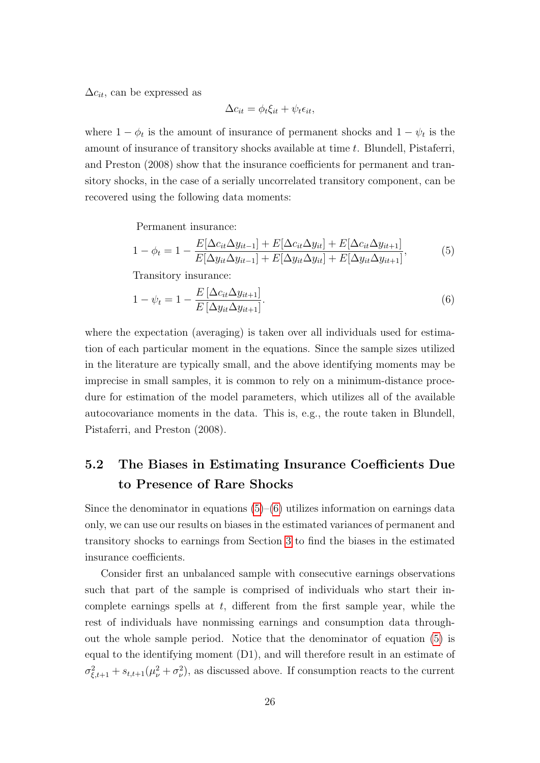$\Delta c_{it}$ , can be expressed as

<span id="page-25-1"></span><span id="page-25-0"></span>
$$
\Delta c_{it} = \phi_t \xi_{it} + \psi_t \epsilon_{it},
$$

where  $1 - \phi_t$  is the amount of insurance of permanent shocks and  $1 - \psi_t$  is the amount of insurance of transitory shocks available at time t. Blundell, Pistaferri, and Preston (2008) show that the insurance coefficients for permanent and transitory shocks, in the case of a serially uncorrelated transitory component, can be recovered using the following data moments:

Permanent insurance:

$$
1 - \phi_t = 1 - \frac{E[\Delta c_{it}\Delta y_{it-1}] + E[\Delta c_{it}\Delta y_{it}] + E[\Delta c_{it}\Delta y_{it+1}]}{E[\Delta y_{it}\Delta y_{it-1}] + E[\Delta y_{it}\Delta y_{it}] + E[\Delta y_{it}\Delta y_{it+1}]},
$$
(5)

Transitory insurance:

$$
1 - \psi_t = 1 - \frac{E\left[\Delta c_{it}\Delta y_{it+1}\right]}{E\left[\Delta y_{it}\Delta y_{it+1}\right]}.\tag{6}
$$

where the expectation (averaging) is taken over all individuals used for estimation of each particular moment in the equations. Since the sample sizes utilized in the literature are typically small, and the above identifying moments may be imprecise in small samples, it is common to rely on a minimum-distance procedure for estimation of the model parameters, which utilizes all of the available autocovariance moments in the data. This is, e.g., the route taken in Blundell, Pistaferri, and Preston (2008).

# 5.2 The Biases in Estimating Insurance Coefficients Due to Presence of Rare Shocks

Since the denominator in equations  $(5)-(6)$  $(5)-(6)$  $(5)-(6)$  utilizes information on earnings data only, we can use our results on biases in the estimated variances of permanent and transitory shocks to earnings from Section [3](#page-12-0) to find the biases in the estimated insurance coefficients.

Consider first an unbalanced sample with consecutive earnings observations such that part of the sample is comprised of individuals who start their incomplete earnings spells at  $t$ , different from the first sample year, while the rest of individuals have nonmissing earnings and consumption data throughout the whole sample period. Notice that the denominator of equation [\(5\)](#page-25-0) is equal to the identifying moment (D1), and will therefore result in an estimate of  $\sigma_{\xi,t+1}^2 + s_{t,t+1}(\mu_\nu^2 + \sigma_\nu^2)$ , as discussed above. If consumption reacts to the current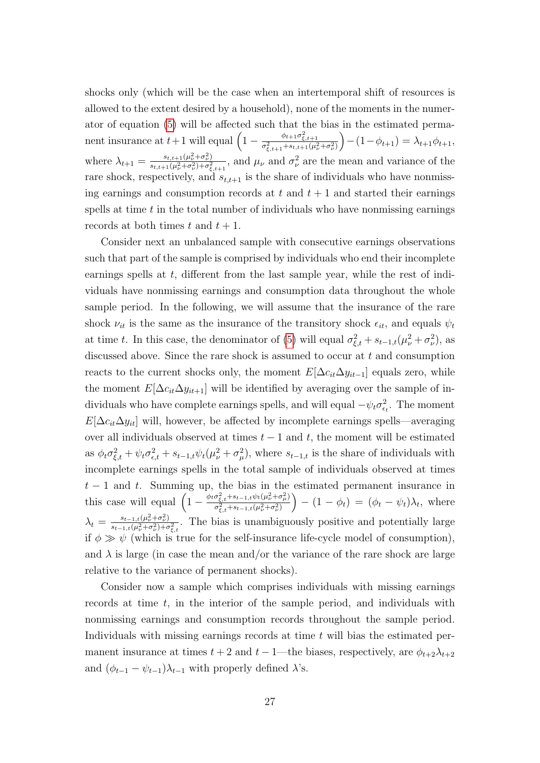shocks only (which will be the case when an intertemporal shift of resources is allowed to the extent desired by a household), none of the moments in the numerator of equation [\(5\)](#page-25-0) will be affected such that the bias in the estimated permanent insurance at  $t+1$  will equal  $\left(1-\frac{\phi_{t+1}\sigma_{\xi,t+1}^2}{\sigma_{\xi,t+1}^2+s_{t,t+1}(\mu_v^2+\sigma_v^2)}\right)$  $-(-\phi_{t+1}) = \lambda_{t+1}\phi_{t+1},$ where  $\lambda_{t+1} = \frac{s_{t,t+1}(\mu_{\nu}^2 + \sigma_{\nu}^2)}{s_{t+1}( \mu_{\nu}^2 + \sigma_{\nu}^2) + \sigma_{\nu}^2}$  $\frac{s_{t,t+1}(\mu_\nu^2+\sigma_\nu^2)}{s_{t,t+1}(\mu_\nu^2+\sigma_\nu^2)+\sigma_{\xi,t+1}^2}$ , and  $\mu_\nu$  and  $\sigma_\nu^2$  are the mean and variance of the rare shock, respectively, and  $s_{t,t+1}$  is the share of individuals who have nonmissing earnings and consumption records at  $t$  and  $t + 1$  and started their earnings spells at time  $t$  in the total number of individuals who have nonmissing earnings records at both times t and  $t + 1$ .

Consider next an unbalanced sample with consecutive earnings observations such that part of the sample is comprised by individuals who end their incomplete earnings spells at t, different from the last sample year, while the rest of individuals have nonmissing earnings and consumption data throughout the whole sample period. In the following, we will assume that the insurance of the rare shock  $\nu_{it}$  is the same as the insurance of the transitory shock  $\epsilon_{it}$ , and equals  $\psi_t$ at time t. In this case, the denominator of [\(5\)](#page-25-0) will equal  $\sigma_{\xi,t}^2 + s_{t-1,t}(\mu_\nu^2 + \sigma_\nu^2)$ , as discussed above. Since the rare shock is assumed to occur at  $t$  and consumption reacts to the current shocks only, the moment  $E[\Delta c_{it}\Delta y_{it-1}]$  equals zero, while the moment  $E[\Delta c_{it}\Delta y_{it+1}]$  will be identified by averaging over the sample of individuals who have complete earnings spells, and will equal  $-\psi_t \sigma_{\epsilon_t}^2$ . The moment  $E[\Delta c_{it}\Delta y_{it}]$  will, however, be affected by incomplete earnings spells—averaging over all individuals observed at times  $t - 1$  and  $t$ , the moment will be estimated as  $\phi_t \sigma_{\xi,t}^2 + \psi_t \sigma_{\epsilon,t}^2 + s_{t-1,t} \psi_t (\mu_\nu^2 + \sigma_\mu^2)$ , where  $s_{t-1,t}$  is the share of individuals with incomplete earnings spells in the total sample of individuals observed at times  $t-1$  and t. Summing up, the bias in the estimated permanent insurance in this case will equal  $\left(1 - \frac{\phi_t \sigma_{\xi,t}^2 + s_{t-1,t} \psi_t (\mu_{\nu}^2 + \sigma_{\mu}^2)}{\sigma_{\tau}^2 + s_{t-1,t} (\mu_{\nu}^2 + \sigma_{\mu}^2)}\right)$  $\sigma^2_{\xi,t}$ +s<sub>t−1,t</sub>( $\mu^2_{\nu}$ + $\sigma^2_{\nu}$ )  $- (1 - \phi_t) = (\phi_t - \psi_t) \lambda_t$ , where  $\lambda_t = \frac{s_{t-1,t}(\mu_\nu^2 + \sigma_\nu^2)}{s_{t-1,t}(\mu^2 + \sigma^2) + \sigma^2}$  $\frac{s_{t-1,t}(\mu_\nu^2+\sigma_\nu^2)}{s_{t-1,t}(\mu_\nu^2+\sigma_\nu^2)+\sigma_{\xi,t}^2}$ . The bias is unambiguously positive and potentially large if  $\phi \gg \psi$  (which is true for the self-insurance life-cycle model of consumption), and  $\lambda$  is large (in case the mean and/or the variance of the rare shock are large relative to the variance of permanent shocks).

Consider now a sample which comprises individuals with missing earnings records at time  $t$ , in the interior of the sample period, and individuals with nonmissing earnings and consumption records throughout the sample period. Individuals with missing earnings records at time  $t$  will bias the estimated permanent insurance at times  $t + 2$  and  $t - 1$ —the biases, respectively, are  $\phi_{t+2}\lambda_{t+2}$ and  $(\phi_{t-1} - \psi_{t-1})\lambda_{t-1}$  with properly defined  $\lambda$ 's.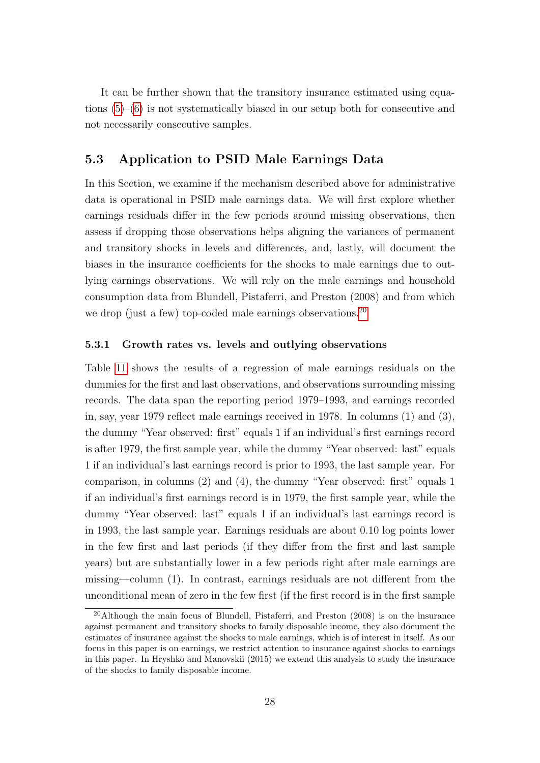It can be further shown that the transitory insurance estimated using equations [\(5\)](#page-25-0)–[\(6\)](#page-25-1) is not systematically biased in our setup both for consecutive and not necessarily consecutive samples.

### 5.3 Application to PSID Male Earnings Data

In this Section, we examine if the mechanism described above for administrative data is operational in PSID male earnings data. We will first explore whether earnings residuals differ in the few periods around missing observations, then assess if dropping those observations helps aligning the variances of permanent and transitory shocks in levels and differences, and, lastly, will document the biases in the insurance coefficients for the shocks to male earnings due to outlying earnings observations. We will rely on the male earnings and household consumption data from Blundell, Pistaferri, and Preston (2008) and from which we drop (just a few) top-coded male earnings observations.<sup>[20](#page-0-0)</sup>

#### 5.3.1 Growth rates vs. levels and outlying observations

Table [11](#page-46-0) shows the results of a regression of male earnings residuals on the dummies for the first and last observations, and observations surrounding missing records. The data span the reporting period 1979–1993, and earnings recorded in, say, year 1979 reflect male earnings received in 1978. In columns (1) and (3), the dummy "Year observed: first" equals 1 if an individual's first earnings record is after 1979, the first sample year, while the dummy "Year observed: last" equals 1 if an individual's last earnings record is prior to 1993, the last sample year. For comparison, in columns (2) and (4), the dummy "Year observed: first" equals 1 if an individual's first earnings record is in 1979, the first sample year, while the dummy "Year observed: last" equals 1 if an individual's last earnings record is in 1993, the last sample year. Earnings residuals are about 0.10 log points lower in the few first and last periods (if they differ from the first and last sample years) but are substantially lower in a few periods right after male earnings are missing—column (1). In contrast, earnings residuals are not different from the unconditional mean of zero in the few first (if the first record is in the first sample

 $^{20}$ Although the main focus of Blundell, Pistaferri, and Preston (2008) is on the insurance against permanent and transitory shocks to family disposable income, they also document the estimates of insurance against the shocks to male earnings, which is of interest in itself. As our focus in this paper is on earnings, we restrict attention to insurance against shocks to earnings in this paper. In Hryshko and Manovskii (2015) we extend this analysis to study the insurance of the shocks to family disposable income.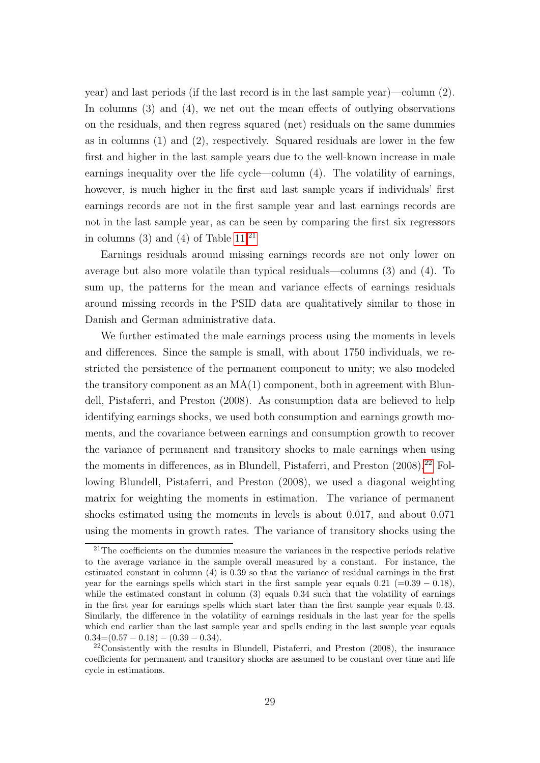year) and last periods (if the last record is in the last sample year)—column (2). In columns (3) and (4), we net out the mean effects of outlying observations on the residuals, and then regress squared (net) residuals on the same dummies as in columns (1) and (2), respectively. Squared residuals are lower in the few first and higher in the last sample years due to the well-known increase in male earnings inequality over the life cycle—column (4). The volatility of earnings, however, is much higher in the first and last sample years if individuals' first earnings records are not in the first sample year and last earnings records are not in the last sample year, as can be seen by comparing the first six regressors in columns (3) and (4) of Table  $11<sup>21</sup>$  $11<sup>21</sup>$  $11<sup>21</sup>$ 

Earnings residuals around missing earnings records are not only lower on average but also more volatile than typical residuals—columns (3) and (4). To sum up, the patterns for the mean and variance effects of earnings residuals around missing records in the PSID data are qualitatively similar to those in Danish and German administrative data.

We further estimated the male earnings process using the moments in levels and differences. Since the sample is small, with about 1750 individuals, we restricted the persistence of the permanent component to unity; we also modeled the transitory component as an  $MA(1)$  component, both in agreement with Blundell, Pistaferri, and Preston (2008). As consumption data are believed to help identifying earnings shocks, we used both consumption and earnings growth moments, and the covariance between earnings and consumption growth to recover the variance of permanent and transitory shocks to male earnings when using the moments in differences, as in Blundell, Pistaferri, and Preston  $(2008).^{22}$  $(2008).^{22}$  $(2008).^{22}$  Following Blundell, Pistaferri, and Preston (2008), we used a diagonal weighting matrix for weighting the moments in estimation. The variance of permanent shocks estimated using the moments in levels is about 0.017, and about 0.071 using the moments in growth rates. The variance of transitory shocks using the

 $21$ The coefficients on the dummies measure the variances in the respective periods relative to the average variance in the sample overall measured by a constant. For instance, the estimated constant in column (4) is 0.39 so that the variance of residual earnings in the first year for the earnings spells which start in the first sample year equals  $0.21$  (=0.39 – 0.18), while the estimated constant in column (3) equals 0.34 such that the volatility of earnings in the first year for earnings spells which start later than the first sample year equals 0.43. Similarly, the difference in the volatility of earnings residuals in the last year for the spells which end earlier than the last sample year and spells ending in the last sample year equals  $0.34=(0.57-0.18)-(0.39-0.34).$ 

<sup>22</sup>Consistently with the results in Blundell, Pistaferri, and Preston (2008), the insurance coefficients for permanent and transitory shocks are assumed to be constant over time and life cycle in estimations.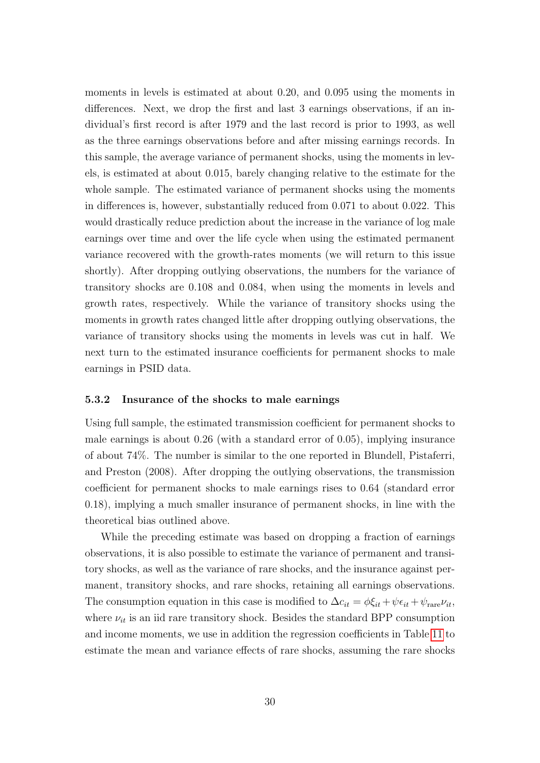moments in levels is estimated at about 0.20, and 0.095 using the moments in differences. Next, we drop the first and last 3 earnings observations, if an individual's first record is after 1979 and the last record is prior to 1993, as well as the three earnings observations before and after missing earnings records. In this sample, the average variance of permanent shocks, using the moments in levels, is estimated at about 0.015, barely changing relative to the estimate for the whole sample. The estimated variance of permanent shocks using the moments in differences is, however, substantially reduced from 0.071 to about 0.022. This would drastically reduce prediction about the increase in the variance of log male earnings over time and over the life cycle when using the estimated permanent variance recovered with the growth-rates moments (we will return to this issue shortly). After dropping outlying observations, the numbers for the variance of transitory shocks are 0.108 and 0.084, when using the moments in levels and growth rates, respectively. While the variance of transitory shocks using the moments in growth rates changed little after dropping outlying observations, the variance of transitory shocks using the moments in levels was cut in half. We next turn to the estimated insurance coefficients for permanent shocks to male earnings in PSID data.

#### <span id="page-29-0"></span>5.3.2 Insurance of the shocks to male earnings

Using full sample, the estimated transmission coefficient for permanent shocks to male earnings is about 0.26 (with a standard error of 0.05), implying insurance of about 74%. The number is similar to the one reported in Blundell, Pistaferri, and Preston (2008). After dropping the outlying observations, the transmission coefficient for permanent shocks to male earnings rises to 0.64 (standard error 0.18), implying a much smaller insurance of permanent shocks, in line with the theoretical bias outlined above.

While the preceding estimate was based on dropping a fraction of earnings observations, it is also possible to estimate the variance of permanent and transitory shocks, as well as the variance of rare shocks, and the insurance against permanent, transitory shocks, and rare shocks, retaining all earnings observations. The consumption equation in this case is modified to  $\Delta c_{it} = \phi \xi_{it} + \psi \epsilon_{it} + \psi_{\text{rare}} \nu_{it}$ , where  $\nu_{it}$  is an iid rare transitory shock. Besides the standard BPP consumption and income moments, we use in addition the regression coefficients in Table [11](#page-46-0) to estimate the mean and variance effects of rare shocks, assuming the rare shocks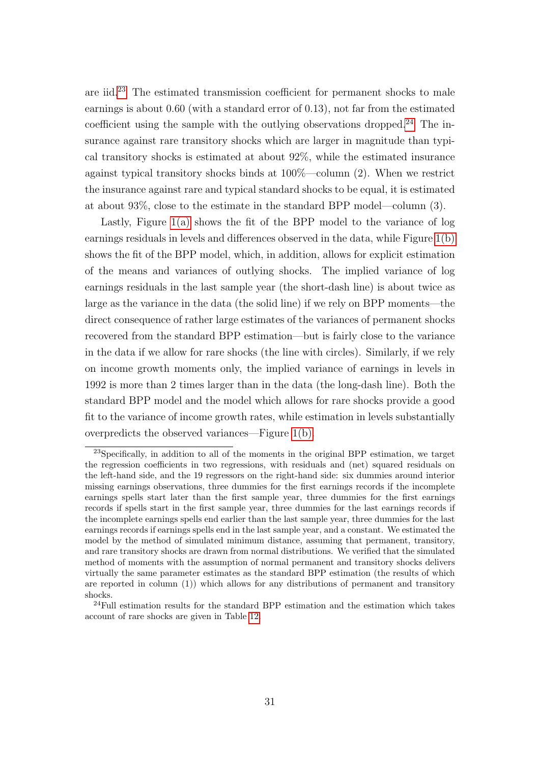are iid.[23](#page-0-0) The estimated transmission coefficient for permanent shocks to male earnings is about 0.60 (with a standard error of 0.13), not far from the estimated coefficient using the sample with the outlying observations dropped.<sup>[24](#page-0-0)</sup> The insurance against rare transitory shocks which are larger in magnitude than typical transitory shocks is estimated at about 92%, while the estimated insurance against typical transitory shocks binds at 100%—column (2). When we restrict the insurance against rare and typical standard shocks to be equal, it is estimated at about 93%, close to the estimate in the standard BPP model—column (3).

Lastly, Figure [1\(a\)](#page-47-0) shows the fit of the BPP model to the variance of log earnings residuals in levels and differences observed in the data, while Figure [1\(b\)](#page-47-1) shows the fit of the BPP model, which, in addition, allows for explicit estimation of the means and variances of outlying shocks. The implied variance of log earnings residuals in the last sample year (the short-dash line) is about twice as large as the variance in the data (the solid line) if we rely on BPP moments—the direct consequence of rather large estimates of the variances of permanent shocks recovered from the standard BPP estimation—but is fairly close to the variance in the data if we allow for rare shocks (the line with circles). Similarly, if we rely on income growth moments only, the implied variance of earnings in levels in 1992 is more than 2 times larger than in the data (the long-dash line). Both the standard BPP model and the model which allows for rare shocks provide a good fit to the variance of income growth rates, while estimation in levels substantially overpredicts the observed variances—Figure [1\(b\).](#page-47-1)

<sup>23</sup>Specifically, in addition to all of the moments in the original BPP estimation, we target the regression coefficients in two regressions, with residuals and (net) squared residuals on the left-hand side, and the 19 regressors on the right-hand side: six dummies around interior missing earnings observations, three dummies for the first earnings records if the incomplete earnings spells start later than the first sample year, three dummies for the first earnings records if spells start in the first sample year, three dummies for the last earnings records if the incomplete earnings spells end earlier than the last sample year, three dummies for the last earnings records if earnings spells end in the last sample year, and a constant. We estimated the model by the method of simulated minimum distance, assuming that permanent, transitory, and rare transitory shocks are drawn from normal distributions. We verified that the simulated method of moments with the assumption of normal permanent and transitory shocks delivers virtually the same parameter estimates as the standard BPP estimation (the results of which are reported in column (1)) which allows for any distributions of permanent and transitory shocks.

<sup>24</sup>Full estimation results for the standard BPP estimation and the estimation which takes account of rare shocks are given in Table [12.](#page-48-0)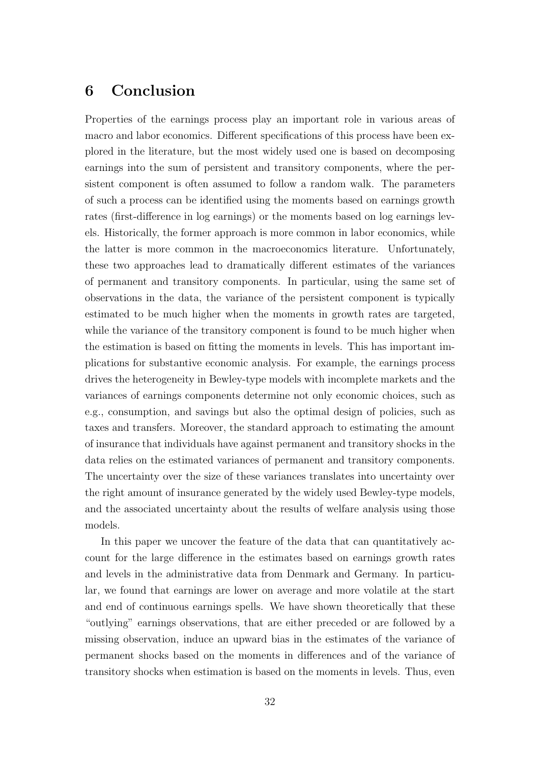# <span id="page-31-0"></span>6 Conclusion

Properties of the earnings process play an important role in various areas of macro and labor economics. Different specifications of this process have been explored in the literature, but the most widely used one is based on decomposing earnings into the sum of persistent and transitory components, where the persistent component is often assumed to follow a random walk. The parameters of such a process can be identified using the moments based on earnings growth rates (first-difference in log earnings) or the moments based on log earnings levels. Historically, the former approach is more common in labor economics, while the latter is more common in the macroeconomics literature. Unfortunately, these two approaches lead to dramatically different estimates of the variances of permanent and transitory components. In particular, using the same set of observations in the data, the variance of the persistent component is typically estimated to be much higher when the moments in growth rates are targeted, while the variance of the transitory component is found to be much higher when the estimation is based on fitting the moments in levels. This has important implications for substantive economic analysis. For example, the earnings process drives the heterogeneity in Bewley-type models with incomplete markets and the variances of earnings components determine not only economic choices, such as e.g., consumption, and savings but also the optimal design of policies, such as taxes and transfers. Moreover, the standard approach to estimating the amount of insurance that individuals have against permanent and transitory shocks in the data relies on the estimated variances of permanent and transitory components. The uncertainty over the size of these variances translates into uncertainty over the right amount of insurance generated by the widely used Bewley-type models, and the associated uncertainty about the results of welfare analysis using those models.

In this paper we uncover the feature of the data that can quantitatively account for the large difference in the estimates based on earnings growth rates and levels in the administrative data from Denmark and Germany. In particular, we found that earnings are lower on average and more volatile at the start and end of continuous earnings spells. We have shown theoretically that these "outlying" earnings observations, that are either preceded or are followed by a missing observation, induce an upward bias in the estimates of the variance of permanent shocks based on the moments in differences and of the variance of transitory shocks when estimation is based on the moments in levels. Thus, even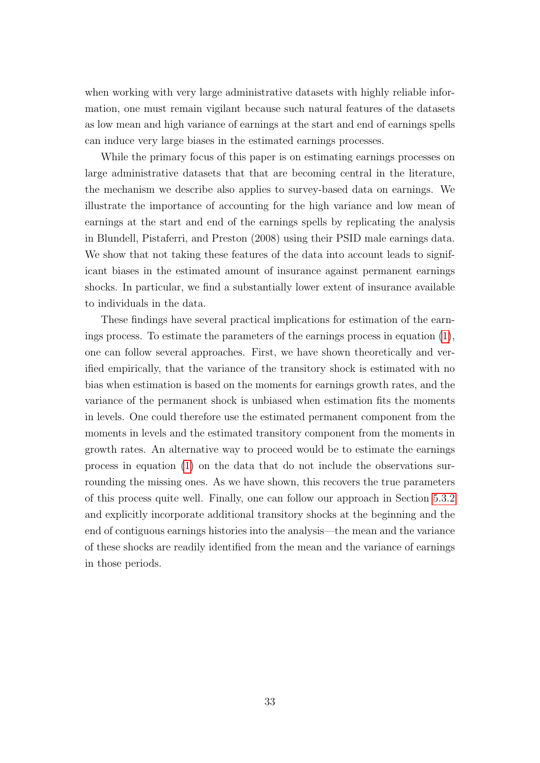when working with very large administrative datasets with highly reliable information, one must remain vigilant because such natural features of the datasets as low mean and high variance of earnings at the start and end of earnings spells can induce very large biases in the estimated earnings processes.

While the primary focus of this paper is on estimating earnings processes on large administrative datasets that that are becoming central in the literature, the mechanism we describe also applies to survey-based data on earnings. We illustrate the importance of accounting for the high variance and low mean of earnings at the start and end of the earnings spells by replicating the analysis in Blundell, Pistaferri, and Preston (2008) using their PSID male earnings data. We show that not taking these features of the data into account leads to significant biases in the estimated amount of insurance against permanent earnings shocks. In particular, we find a substantially lower extent of insurance available to individuals in the data.

These findings have several practical implications for estimation of the earnings process. To estimate the parameters of the earnings process in equation [\(1\)](#page-1-0), one can follow several approaches. First, we have shown theoretically and verified empirically, that the variance of the transitory shock is estimated with no bias when estimation is based on the moments for earnings growth rates, and the variance of the permanent shock is unbiased when estimation fits the moments in levels. One could therefore use the estimated permanent component from the moments in levels and the estimated transitory component from the moments in growth rates. An alternative way to proceed would be to estimate the earnings process in equation [\(1\)](#page-1-0) on the data that do not include the observations surrounding the missing ones. As we have shown, this recovers the true parameters of this process quite well. Finally, one can follow our approach in Section [5.3.2](#page-29-0) and explicitly incorporate additional transitory shocks at the beginning and the end of contiguous earnings histories into the analysis—the mean and the variance of these shocks are readily identified from the mean and the variance of earnings in those periods.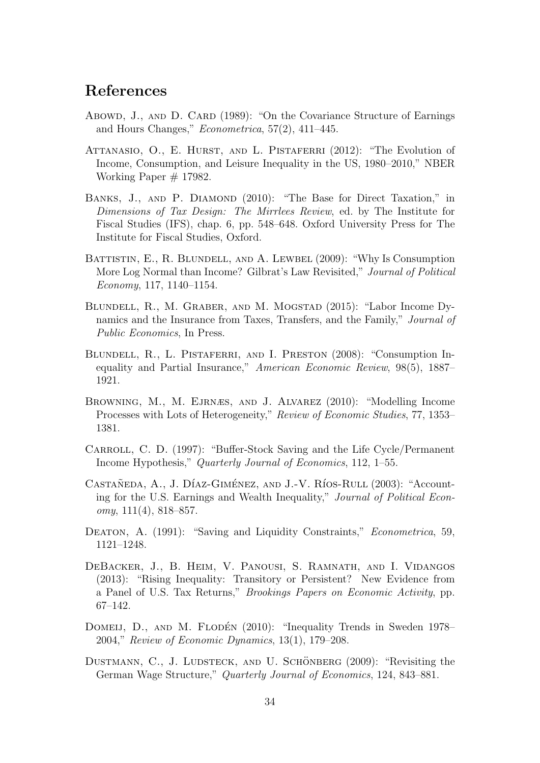# References

- Abowd, J., AND D. CARD (1989): "On the Covariance Structure of Earnings and Hours Changes," Econometrica, 57(2), 411–445.
- ATTANASIO, O., E. HURST, AND L. PISTAFERRI (2012): "The Evolution of Income, Consumption, and Leisure Inequality in the US, 1980–2010," NBER Working Paper # 17982.
- BANKS, J., AND P. DIAMOND (2010): "The Base for Direct Taxation," in Dimensions of Tax Design: The Mirrlees Review, ed. by The Institute for Fiscal Studies (IFS), chap. 6, pp. 548–648. Oxford University Press for The Institute for Fiscal Studies, Oxford.
- BATTISTIN, E., R. BLUNDELL, AND A. LEWBEL (2009): "Why Is Consumption More Log Normal than Income? Gilbrat's Law Revisited," Journal of Political Economy, 117, 1140–1154.
- Blundell, R., M. Graber, and M. Mogstad (2015): "Labor Income Dynamics and the Insurance from Taxes, Transfers, and the Family," Journal of Public Economics, In Press.
- BLUNDELL, R., L. PISTAFERRI, AND I. PRESTON (2008): "Consumption Inequality and Partial Insurance," American Economic Review, 98(5), 1887– 1921.
- Browning, M., M. Ejrnæs, and J. Alvarez (2010): "Modelling Income Processes with Lots of Heterogeneity," Review of Economic Studies, 77, 1353– 1381.
- Carroll, C. D. (1997): "Buffer-Stock Saving and the Life Cycle/Permanent Income Hypothesis," Quarterly Journal of Economics, 112, 1–55.
- CASTAÑEDA, A., J. DÍAZ-GIMÉNEZ, AND J.-V. RÍOS-RULL (2003): "Accounting for the U.S. Earnings and Wealth Inequality," Journal of Political Econ $omy, 111(4), 818-857.$
- DEATON, A. (1991): "Saving and Liquidity Constraints," *Econometrica*, 59, 1121–1248.
- DeBacker, J., B. Heim, V. Panousi, S. Ramnath, and I. Vidangos (2013): "Rising Inequality: Transitory or Persistent? New Evidence from a Panel of U.S. Tax Returns," Brookings Papers on Economic Activity, pp. 67–142.
- DOMEIJ, D., AND M. FLODÉN (2010): "Inequality Trends in Sweden 1978– 2004," Review of Economic Dynamics, 13(1), 179–208.
- DUSTMANN, C., J. LUDSTECK, AND U. SCHÖNBERG (2009): "Revisiting the German Wage Structure," Quarterly Journal of Economics, 124, 843–881.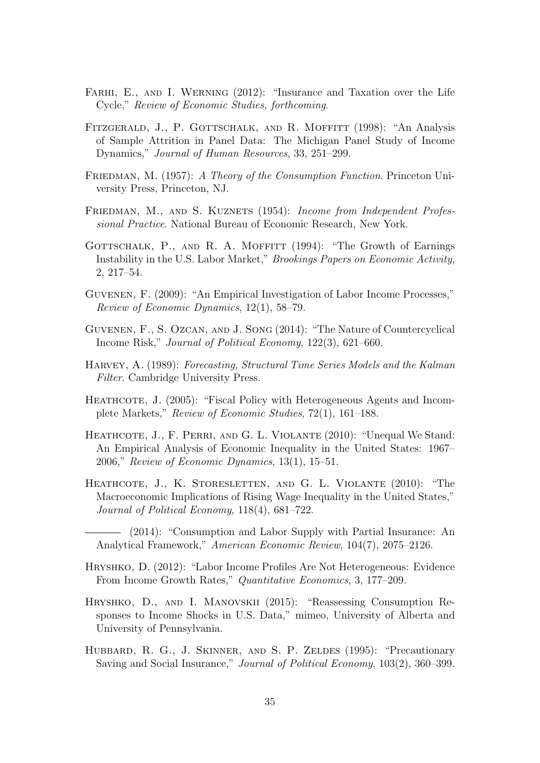- FARHI, E., AND I. WERNING (2012): "Insurance and Taxation over the Life Cycle," Review of Economic Studies, forthcoming.
- FITZGERALD, J., P. GOTTSCHALK, AND R. MOFFITT (1998): "An Analysis of Sample Attrition in Panel Data: The Michigan Panel Study of Income Dynamics," Journal of Human Resources, 33, 251–299.
- FRIEDMAN, M. (1957): A Theory of the Consumption Function. Princeton University Press, Princeton, NJ.
- FRIEDMAN, M., AND S. KUZNETS (1954): Income from Independent Professional Practice. National Bureau of Economic Research, New York.
- GOTTSCHALK, P., AND R. A. MOFFITT (1994): "The Growth of Earnings Instability in the U.S. Labor Market," Brookings Papers on Economic Activity, 2, 217–54.
- Guvenen, F. (2009): "An Empirical Investigation of Labor Income Processes," Review of Economic Dynamics, 12(1), 58–79.
- Guvenen, F., S. Ozcan, and J. Song (2014): "The Nature of Countercyclical Income Risk," Journal of Political Economy, 122(3), 621–660.
- Harvey, A. (1989): Forecasting, Structural Time Series Models and the Kalman Filter. Cambridge University Press.
- HEATHCOTE, J. (2005): "Fiscal Policy with Heterogeneous Agents and Incomplete Markets," Review of Economic Studies, 72(1), 161–188.
- HEATHCOTE, J., F. PERRI, AND G. L. VIOLANTE (2010): "Unequal We Stand: An Empirical Analysis of Economic Inequality in the United States: 1967– 2006," Review of Economic Dynamics, 13(1), 15–51.
- HEATHCOTE, J., K. STORESLETTEN, AND G. L. VIOLANTE (2010): "The Macroeconomic Implications of Rising Wage Inequality in the United States," Journal of Political Economy, 118(4), 681–722.
- (2014): "Consumption and Labor Supply with Partial Insurance: An Analytical Framework," American Economic Review, 104(7), 2075–2126.
- Hryshko, D. (2012): "Labor Income Profiles Are Not Heterogeneous: Evidence From Income Growth Rates," Quantitative Economics, 3, 177–209.
- Hryshko, D., and I. Manovskii (2015): "Reassessing Consumption Responses to Income Shocks in U.S. Data," mimeo, University of Alberta and University of Pennsylvania.
- HUBBARD, R. G., J. SKINNER, AND S. P. ZELDES (1995): "Precautionary Saving and Social Insurance," Journal of Political Economy, 103(2), 360–399.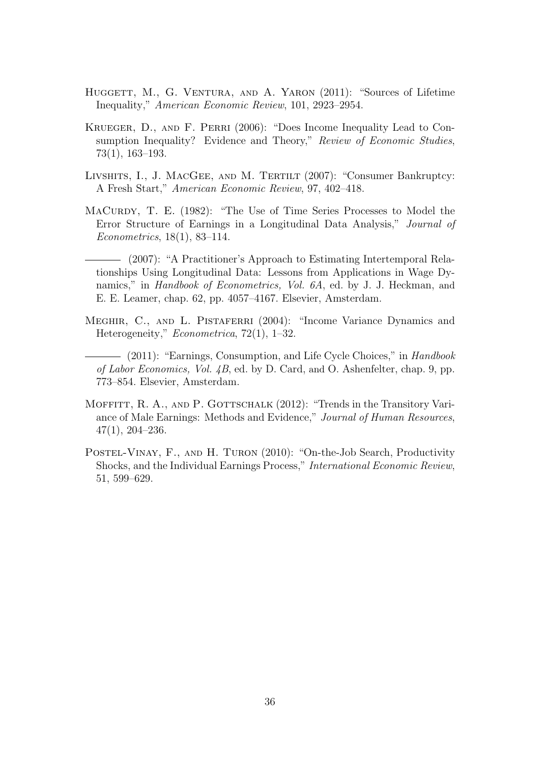- HUGGETT, M., G. VENTURA, AND A. YARON (2011): "Sources of Lifetime Inequality," American Economic Review, 101, 2923–2954.
- Krueger, D., and F. Perri (2006): "Does Income Inequality Lead to Consumption Inequality? Evidence and Theory," Review of Economic Studies, 73(1), 163–193.
- Livshits, I., J. MacGee, and M. Tertilt (2007): "Consumer Bankruptcy: A Fresh Start," American Economic Review, 97, 402–418.
- MaCurdy, T. E. (1982): "The Use of Time Series Processes to Model the Error Structure of Earnings in a Longitudinal Data Analysis," Journal of Econometrics, 18(1), 83–114.
- (2007): "A Practitioner's Approach to Estimating Intertemporal Relationships Using Longitudinal Data: Lessons from Applications in Wage Dynamics," in *Handbook of Econometrics*, *Vol. 6A*, ed. by J. J. Heckman, and E. E. Leamer, chap. 62, pp. 4057–4167. Elsevier, Amsterdam.
- MEGHIR, C., AND L. PISTAFERRI (2004): "Income Variance Dynamics and Heterogeneity," Econometrica, 72(1), 1–32.
- (2011): "Earnings, Consumption, and Life Cycle Choices," in Handbook of Labor Economics, Vol. 4B, ed. by D. Card, and O. Ashenfelter, chap. 9, pp. 773–854. Elsevier, Amsterdam.
- MOFFITT, R. A., AND P. GOTTSCHALK (2012): "Trends in the Transitory Variance of Male Earnings: Methods and Evidence," Journal of Human Resources, 47(1), 204–236.
- POSTEL-VINAY, F., AND H. TURON (2010): "On-the-Job Search, Productivity Shocks, and the Individual Earnings Process," International Economic Review, 51, 599–629.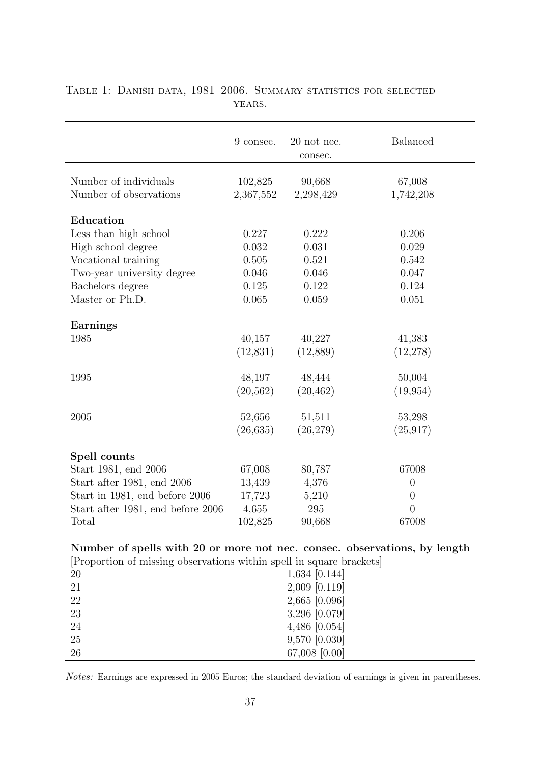|                                                                           | 9 consec.            | 20 not nec.<br>consec. | <b>Balanced</b>     |
|---------------------------------------------------------------------------|----------------------|------------------------|---------------------|
| Number of individuals<br>Number of observations                           | 102,825<br>2,367,552 | 90,668<br>2,298,429    | 67,008<br>1,742,208 |
| Education                                                                 |                      |                        |                     |
| Less than high school                                                     | 0.227                | 0.222                  | 0.206               |
| High school degree                                                        | $\,0.032\,$          | 0.031                  | 0.029               |
| Vocational training                                                       | 0.505                | 0.521                  | 0.542               |
| Two-year university degree                                                | 0.046                | 0.046                  | 0.047               |
| Bachelors degree                                                          | 0.125                | 0.122                  | 0.124               |
| Master or Ph.D.                                                           | 0.065                | 0.059                  | 0.051               |
|                                                                           |                      |                        |                     |
| <b>Earnings</b><br>1985                                                   | 40,157               | 40,227                 |                     |
|                                                                           |                      |                        | 41,383              |
|                                                                           | (12, 831)            | (12,889)               | (12, 278)           |
| 1995                                                                      | 48,197               | 48,444                 | 50,004              |
|                                                                           | (20, 562)            | (20, 462)              | (19, 954)           |
| 2005                                                                      | 52,656               | 51,511                 | 53,298              |
|                                                                           | (26, 635)            | (26, 279)              | (25, 917)           |
|                                                                           |                      |                        |                     |
| Spell counts                                                              |                      |                        |                     |
| Start 1981, end 2006                                                      | 67,008               | 80,787                 | 67008               |
| Start after 1981, end 2006                                                | 13,439               | 4,376                  | $\overline{0}$      |
| Start in 1981, end before 2006                                            | 17,723               | 5,210                  | $\overline{0}$      |
| Start after 1981, end before 2006                                         | 4,655                | 295                    | $\overline{0}$      |
| Total                                                                     | 102,825              | 90,668                 | 67008               |
| Number of spells with 20 or more not nec. consec. observations, by length |                      |                        |                     |
| [Proportion of missing observations within spell in square brackets]      |                      |                        |                     |
| 20                                                                        |                      | $1,634$ [0.144]        |                     |
| 21                                                                        |                      | $2,009$ [0.119]        |                     |
| 22                                                                        |                      | 2,665 [0.096]          |                     |
| 23                                                                        |                      | 3,296 [0.079]          |                     |
| 24                                                                        |                      | 4,486 [0.054]          |                     |
| 25                                                                        |                      | 9,570 [0.030]          |                     |
| 26                                                                        |                      | 67,008 [0.00]          |                     |

<span id="page-36-0"></span>Table 1: Danish data, 1981–2006. Summary statistics for selected YEARS.

Notes: Earnings are expressed in 2005 Euros; the standard deviation of earnings is given in parentheses.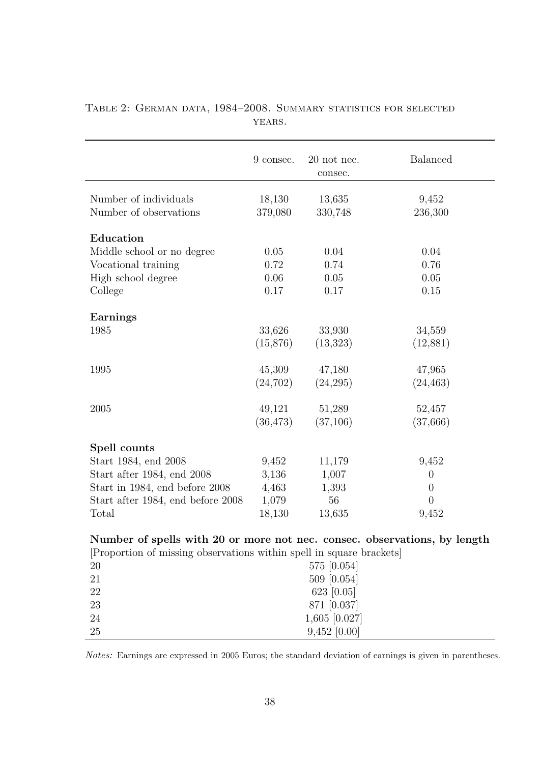|                                                                            | 9 consec.         | $20$ not nec.<br>consec. | <b>Balanced</b>  |
|----------------------------------------------------------------------------|-------------------|--------------------------|------------------|
| Number of individuals<br>Number of observations                            | 18,130<br>379,080 | 13,635<br>330,748        | 9,452<br>236,300 |
| Education                                                                  |                   |                          |                  |
| Middle school or no degree                                                 | 0.05              | 0.04                     | 0.04             |
| Vocational training                                                        | 0.72              | 0.74                     | 0.76             |
| High school degree                                                         | 0.06              | 0.05                     | 0.05             |
| College                                                                    | 0.17              | 0.17                     | 0.15             |
|                                                                            |                   |                          |                  |
| <b>Earnings</b>                                                            |                   |                          |                  |
| 1985                                                                       | 33,626            | 33,930                   | 34,559           |
|                                                                            | (15, 876)         | (13, 323)                | (12,881)         |
| 1995                                                                       | 45,309            | 47,180                   | 47,965           |
|                                                                            | (24, 702)         | (24, 295)                | (24, 463)        |
|                                                                            |                   |                          |                  |
| 2005                                                                       | 49,121            | 51,289                   | 52,457           |
|                                                                            | (36, 473)         | (37,106)                 | (37,666)         |
| Spell counts                                                               |                   |                          |                  |
| Start 1984, end 2008                                                       | 9,452             | 11,179                   | 9,452            |
| Start after 1984, end 2008                                                 | 3,136             | 1,007                    | $\theta$         |
| Start in 1984, end before 2008                                             | 4,463             | 1,393                    | $\overline{0}$   |
| Start after 1984, end before 2008                                          | 1,079             | 56                       | $\overline{0}$   |
| Total                                                                      | 18,130            | 13,635                   | 9,452            |
|                                                                            |                   |                          |                  |
| Number of spells with 20 or more not nec. consec. observations, by length  |                   |                          |                  |
| [Proportion of missing observations within spell in square brackets]<br>20 |                   | 575 [0.054]              |                  |
| 21                                                                         |                   | 509 [0.054]              |                  |
| $22\,$                                                                     |                   | 623 [0.05]               |                  |
| 23                                                                         |                   | 871 [0.037]              |                  |
| 24                                                                         |                   | 1,605 [0.027]            |                  |
| 25                                                                         |                   | $9,452$ [0.00]           |                  |

<span id="page-37-0"></span>Table 2: German data, 1984–2008. Summary statistics for selected YEARS.

Notes: Earnings are expressed in 2005 Euros; the standard deviation of earnings is given in parentheses.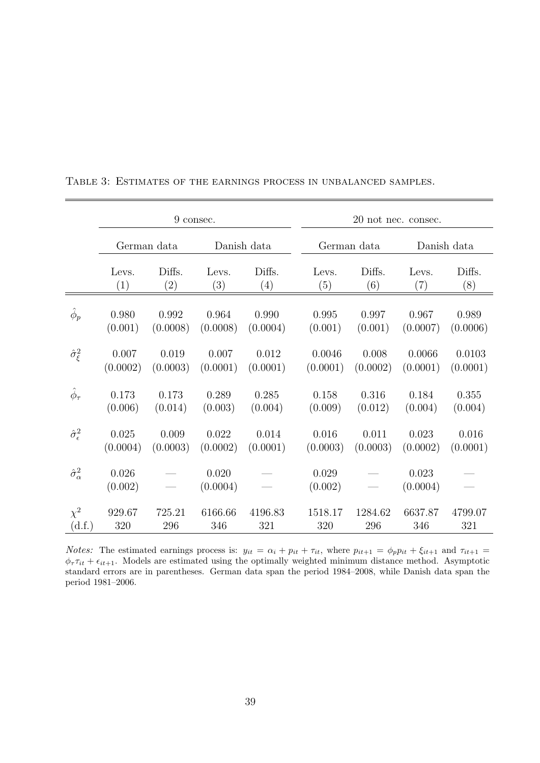|                             |                  | 9 consec.         |                   |             |                  | 20 not nec. consec. |                   |             |
|-----------------------------|------------------|-------------------|-------------------|-------------|------------------|---------------------|-------------------|-------------|
|                             |                  | German data       |                   | Danish data |                  | German data         |                   | Danish data |
|                             | Levs.            | Diffs.            | Levs.             | Diffs.      | Levs.            | Diffs.              | Levs.             | Diffs.      |
|                             | (1)              | $\left( 2\right)$ | (3)               | (4)         | (5)              | (6)                 | $\left( 7\right)$ | (8)         |
| $\hat{\phi}_p$              | 0.980            | 0.992             | 0.964             | 0.990       | 0.995            | 0.997               | 0.967             | 0.989       |
|                             | (0.001)          | (0.0008)          | (0.0008)          | (0.0004)    | (0.001)          | (0.001)             | (0.0007)          | (0.0006)    |
| $\hat{\sigma}_{\xi}^2$      | 0.007            | 0.019             | 0.007             | 0.012       | 0.0046           | 0.008               | 0.0066            | 0.0103      |
|                             | (0.0002)         | (0.0003)          | (0.0001)          | (0.0001)    | (0.0001)         | (0.0002)            | (0.0001)          | (0.0001)    |
| $\hat{\phi}_{\tau}$         | 0.173            | 0.173             | 0.289             | 0.285       | 0.158            | 0.316               | 0.184             | 0.355       |
|                             | (0.006)          | (0.014)           | (0.003)           | (0.004)     | (0.009)          | (0.012)             | (0.004)           | (0.004)     |
| $\hat{\sigma}_{\epsilon}^2$ | 0.025            | 0.009             | 0.022             | 0.014       | 0.016            | 0.011               | 0.023             | 0.016       |
|                             | (0.0004)         | (0.0003)          | (0.0002)          | (0.0001)    | (0.0003)         | (0.0003)            | (0.0002)          | (0.0001)    |
| $\hat{\sigma}^2_{\alpha}$   | 0.026<br>(0.002) |                   | 0.020<br>(0.0004) |             | 0.029<br>(0.002) |                     | 0.023<br>(0.0004) |             |
| $\chi^2$                    | 929.67           | 725.21            | 6166.66           | 4196.83     | 1518.17          | 1284.62             | 6637.87           | 4799.07     |
| (d.f.)                      | 320              | 296               | 346               | 321         | 320              | 296                 | 346               | 321         |

<span id="page-38-0"></span>Table 3: Estimates of the earnings process in unbalanced samples.

*Notes:* The estimated earnings process is:  $y_{it} = \alpha_i + p_{it} + \tau_{it}$ , where  $p_{it+1} = \phi_p p_{it} + \xi_{it+1}$  and  $\tau_{it+1} =$  $\phi_{\tau} \tau_{it} + \epsilon_{it+1}$ . Models are estimated using the optimally weighted minimum distance method. Asymptotic standard errors are in parentheses. German data span the period 1984–2008, while Danish data span the period 1981–2006.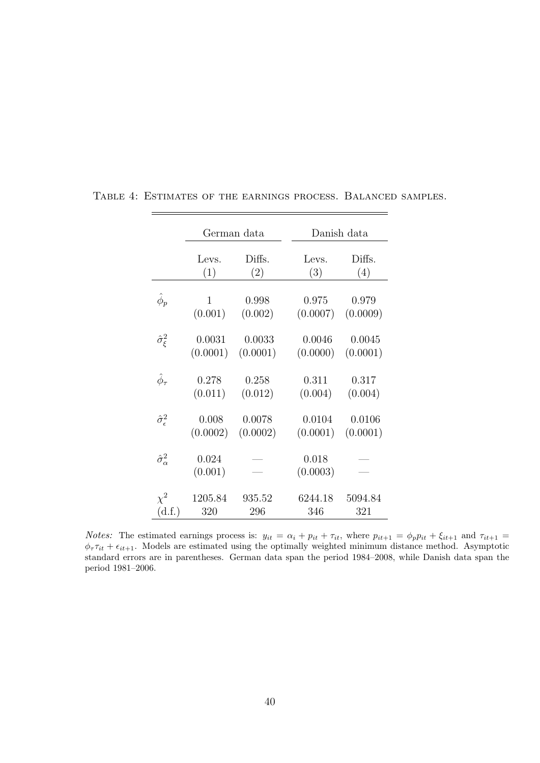|                             |                  | German data |                   | Danish data |
|-----------------------------|------------------|-------------|-------------------|-------------|
|                             | Levs.            | Diffs.      | Levs.             | Diffs.      |
|                             | (1)              | (2)         | (3)               | (4)         |
| $\hat{\phi}_p$              | 1                | 0.998       | 0.975             | 0.979       |
|                             | (0.001)          | (0.002)     | (0.0007)          | (0.0009)    |
| $\hat{\sigma}_{\xi}^2$      | 0.0031           | 0.0033      | 0.0046            | 0.0045      |
|                             | (0.0001)         | (0.0001)    | (0.0000)          | (0.0001)    |
| $\hat{\phi}_{\tau}$         | 0.278            | 0.258       | 0.311             | 0.317       |
|                             | (0.011)          | (0.012)     | (0.004)           | (0.004)     |
| $\hat{\sigma}_{\epsilon}^2$ | 0.008            | 0.0078      | 0.0104            | 0.0106      |
|                             | (0.0002)         | (0.0002)    | (0.0001)          | (0.0001)    |
| $\hat{\sigma}^2_{\alpha}$   | 0.024<br>(0.001) |             | 0.018<br>(0.0003) |             |
| $\chi^2$                    | 1205.84          | 935.52      | 6244.18           | 5094.84     |
| (d.f.)                      | 320              | 296         | 346               | 321         |

<span id="page-39-0"></span>Table 4: Estimates of the earnings process. Balanced samples.

 $\overline{\phantom{0}}$ 

*Notes:* The estimated earnings process is:  $y_{it} = \alpha_i + p_{it} + \tau_{it}$ , where  $p_{it+1} = \phi_p p_{it} + \xi_{it+1}$  and  $\tau_{it+1} =$  $\phi_{\tau} \tau_{it} + \epsilon_{it+1}$ . Models are estimated using the optimally weighted minimum distance method. Asymptotic standard errors are in parentheses. German data span the period 1984–2008, while Danish data span the period 1981–2006.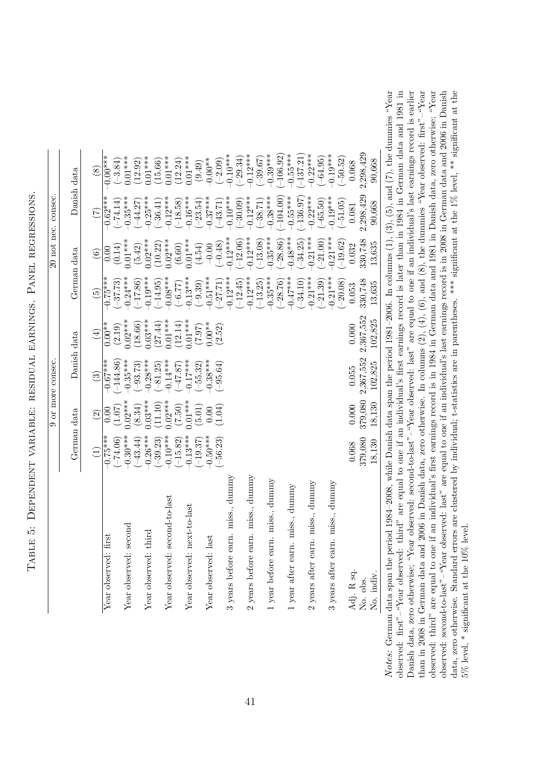| ׇ֚֘<br>i<br>i<br> <br> <br> <br> <br>ł                                                                                                  |
|-----------------------------------------------------------------------------------------------------------------------------------------|
| ;<br> <br> <br> <br> <br> <br> <br> <br>֦֖֖֧ׅ֧֧֧֦֧֧֧֪ׅ֧֧֧֪֪֪֪֪֚֚֚֚֚֚֚֚֚֚֚֚֚֚֚֚֚֚֚֚֚֚֚֝֬֝֝֓֝֬֝֬֝֓֝֓֝֬֝֬֝֬֝֓֝֬֓֝֬֝֬֝֬֝֬֝֬֝֬֝֬֝֬<br>I<br>I |
| Į<br>j<br>$\vdots$<br>:<br>l<br>i                                                                                                       |
| ֧ׅ֧ׅׅ֧֧֧ׅ֧֧֧֛ׅ֧֛֧ׅ֧֛֧֚֚֚֚֚֚֚֚֚֚֚֚֚֚֚֚֚֚֚֚֚֚֚֚֚֡֜֓֡֓֝֓֓֓֓֜֓֬֜֓֬<br>ן<br>ג<br>l                                                           |
| ۱<br>١<br>֧֖֧֧֧֧֧֧֧֧֧֧֧֧֧֧֧֧֧֧֧֧֧֧֧֧֧֧֚֚֚֚֚֚֚֚֚֚֚֚֚֚֚֚֚֚֓֝֓֓֓֓֓֓֓֓֓֓֓֓֓֓֓֝֬֓֓֝֬֓֝֬֝֬֝֬֝֬֬֓<br>֧֧֧֝֩֩                                    |
| $\vdots$<br>ו<br>ו<br>j<br>i<br>١<br>I                                                                                                  |
| ļ<br>l<br>l<br>ļ<br>֧֧ׅ֧ׅ֧ׅ֧ׅ֧ׅ֧֧֧֧ׅ֧֧֧ׅ֧ׅ֧֛ׅ֧֧֚֚֚֚֚֚֚֚֚֚֚֚֚֚֚֚֚֚֚֚֚֚֚֚֚֡֜֜֓֝֓֝֓֜֝֬֜֜֓֝֬<br>١<br>I                                      |

<span id="page-40-0"></span>

|                                     |                 |                          | 9 or more consec. |             |                 |                          | 20 not nec. consec. |               |
|-------------------------------------|-----------------|--------------------------|-------------------|-------------|-----------------|--------------------------|---------------------|---------------|
|                                     | German data     |                          | Danish data       |             | German data     |                          |                     | Danish data   |
|                                     | $\widehat{\Xi}$ | $\widehat{\mathfrak{S}}$ | $\odot$           | $\bigoplus$ | $\widetilde{5}$ | $\widehat{\mathfrak{S}}$ | $\widetilde{\Xi}$   | $\circledast$ |
| $\ddot{s}$<br>Year observed: fir    | $-0.75***$      | 0.00                     | $-0.67***$        | $0.00**$    | $0.75***$       | $_{\rm 0.00}$            | $-0.62***$          | $0.00***$     |
|                                     | $(-74.06)$      | (1.07)                   | $-144.86$         | (2.19)      | $(-37.73)$      | (0.14)                   | $(-74.14)$          | $(-3.84)$     |
| Year observed: second               | $-0.30***$      | $0.02***$                | $-0.35***$        | $0.02***$   | $-0.24***$      | $0.01***$                | $0.35***$           | $0.01***$     |
|                                     | $(-43.44)$      | (8.34)                   | $(-93.73)$        | (18.66)     | $(-17.86)$      | (5.42)                   | $(-44.27)$          | (12.92)       |
| Year observed: third                | $-0.26***$      | $0.03***$                | $-0.28***$        | $0.03***$   | $0.19***$       | $0.02***$                | $-0.25***$          | $0.01***$     |
|                                     | $(-39.23)$      | (11.10)                  | $(-81.25)$        | (27.44)     | $(-14.95)$      | (10.22)                  | $(-36.41)$          | (15.66)       |
| Year observed: second-to-last       | $-0.10***$      | $0.02***$                | $-0.14***$        | $0.01***$   | $-0.08***$      | $0.02***$                | $-0.12***$          | $0.01***$     |
|                                     | $(-15.82)$      | (7.50)                   | (5.71)            | (12.14)     | $(-6.77)$       | (6.60)                   | $(-18.58)$          | (12.24)       |
| Year observed: next-to-last         | $-0.13***$      | $0.01***$                | $-0.17***$        | $0.01***$   | $0.13***$       | $0.01***$                | $-0.16***$          | $0.01***$     |
|                                     | $(-19.37)$      | (5.01)                   | $(-55.32)$        | (7.97)      | $(-9.39)$       | (4.54)                   | $(-23.54)$          | (9.49)        |
| Year observed: last                 | $0.50***$       | 0.00                     | $0.38***$         | $0.00**$    | $0.51***$       | $-0.00$                  | $-0.37***$          | $-0.00**$     |
|                                     | $-56.23$        | (1.04)                   | $(-95.64)$        | (2.52)      | $(-27.71)$      | $(-0.48)$                | $(-43.71)$          | $(-2.09)$     |
| 3 years before earn. miss., dummy   |                 |                          |                   |             | $-0.12***$      | $0.12***$                | $-0.10***$          | $-0.10***$    |
|                                     |                 |                          |                   |             | $(-12.45)$      | $(-12.06)$               | $(-30.09)$          | $(-29.34)$    |
| 2 years before earn. miss., dummy   |                 |                          |                   |             | $-0.12***$      | $0.12***$                | $-0.12***$          | $-0.12***$    |
|                                     |                 |                          |                   |             | $(-13.25)$      | $-13.08$                 | $(-38.71)$          | $-39.67$      |
| 1 year before earn. miss., dummy    |                 |                          |                   |             | $-0.35***$      | $0.35***$                | $-0.38***$          | $-0.39***$    |
|                                     |                 |                          |                   |             | $(-28.76)$      | $-28.86$                 | $-104.00$           | $-106.92$     |
| miss., dunnny<br>1 year after earn. |                 |                          |                   |             | $-0.47***$      | $0.48***$                | $-0.55***$          | $-0.55***$    |
|                                     |                 |                          |                   |             | $(-34.10)$      | $-34.25$                 | $-136.97$           | $-137.21$     |
| miss., dummy<br>2 years after earn  |                 |                          |                   |             | $-0.21***$      | $0.21***$                | $-0.22***$          | $-0.22***$    |
|                                     |                 |                          |                   |             | $(-21.39)$      | $(-21.00)$               | $(-65.50)$          | $-64.95$      |
| miss., dummy<br>3 years after earn  |                 |                          |                   |             | $-0.21***$      | $0.21***$                | $-0.19***$          | $-0.19***$    |
|                                     |                 |                          |                   |             | $(-20.08)$      | $-19.62$                 | $(-51.05)$          | $(-50.52)$    |
| Adj. R sq.                          | 0.068           | 0.000                    | 0.055             | 0.000       | 0.053           | 0.032                    | 0.081               | 0.068         |
| No. obs.                            | 379,080         | 379,080                  | 2,367,552         | 2,367,552   | 330,748         | 330,748                  | 2,298,429           | 2,298,429     |
| No. indiv.                          | 18,130          | 18,130                   | 102,825           | 102,825     | 13,635          | 13,635                   | 90,668              | 90,668        |
|                                     |                 |                          |                   |             |                 |                          |                     |               |

Notes: German data span the period 1984-2008, while Danish data span the period 1981-2006. In columns  $(1)$ ,  $(3)$ ,  $(5)$ , and  $(7)$ , the dummies "Year observed: first"-"Year observed: third" are equal to one if an individual's first earnings record is later than in 1984 in German data and 1981 in Danish data, zero otherwise; "Year observed: second-to-last"-"Year observed: last" are equal to one if an individual's last earnings record is earlier than in 2008 in German data and 2006 in Danish data, zero otherwise. In columns  $(2)$ ,  $(4)$ ,  $(6)$ , and  $(8)$ , the dummies "Year observed: first"-"Year observed: third" are equal to one if an individual's first earnings record is in 1984 in German data and 1981 in Danish data, zero otherwise; "Year observed: second-to-last"-"Year observed: last" are equal to one if an individual's last earnings record is in 2008 in German data and 2006 in Danish data, zero otherwise. Standard errors are clustered by individual; t-statistics are in parentheses. \*\*\* significant at the 1% level, \*\* significant at the Notes: German data span the period 1984–2008, while Danish data span the period 1981–2006. In columns (1), (3), (5), and (7), the dummies "Year observed: first"–"Year observed: third" are equal to one if an individual's first earnings record is later than in 1984 in German data and 1981 in Danish data, zero otherwise; "Year observed: second-to-last"–"Year observed: last" are equal to one if an individual's last earnings record is earlier than in 2008 in German data and 2006 in Danish data, zero otherwise. In columns (2), (4), (6), and (8), the dummies "Year observed: first"–"Year observed: third" are equal to one if an individual's first earnings record is in 1984 in German data and 1981 in Danish data, zero otherwise; "Year observed: second-to-last"–"Year observed: last" are equal to one if an individual's last earnings record is in 2008 in German data and 2006 in Danish data, zero otherwise. Standard errors are clustered by individual; t-statistics are in parentheses. \*\*\* significant at the 1% level, \*\* significant at the  $5\%$  level, \* significant at the  $10\%$  level. 5% level, \* significant at the 10% level.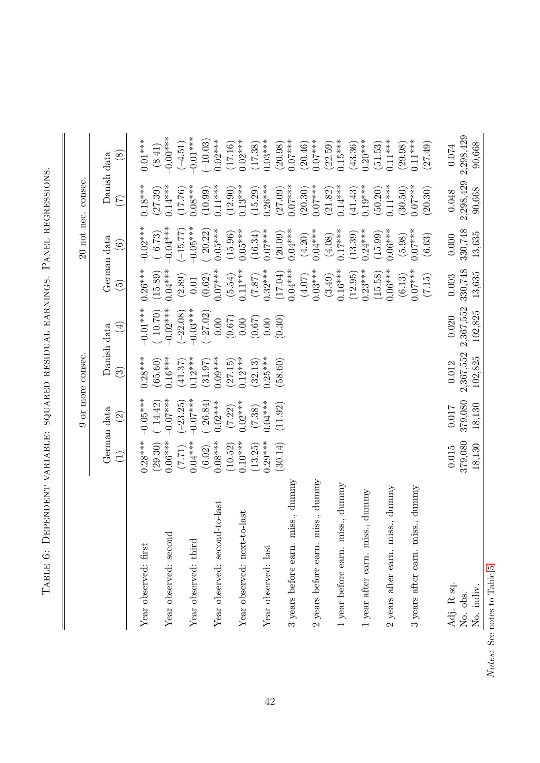| i<br> <br> <br> <br>l<br>l<br>ו<br> <br> <br>J<br>֠    |
|--------------------------------------------------------|
| j<br>į                                                 |
| ļ<br>ׇ֚֚֬֡֡֡                                           |
| י                                                      |
| しゅうきょう しょうしょう しょうしょう しょうしょう しょうしょう<br>١<br>I<br>֠<br>į |
| ١<br>I<br>I<br>J                                       |
| $\frac{1}{1}$<br>١<br>l<br>▎                           |

 $\overline{1}$ 

<span id="page-41-0"></span>

|                                       |                      |                     | 9 or more consec.      |                    |                          |                        | 20 not nec. consec.  |                      |
|---------------------------------------|----------------------|---------------------|------------------------|--------------------|--------------------------|------------------------|----------------------|----------------------|
|                                       |                      | German data         |                        | Danish data        |                          | German data            |                      | Danish data          |
|                                       | $\widehat{\Xi}$      | $\widehat{\Omega}$  | $\widehat{\mathbb{G}}$ | $\bigoplus$        | $\widetilde{\mathbb{G}}$ | $\widehat{\mathbf{e}}$ | $(\mathcal{L})$      | $\circled{s}$        |
| Year observed: first                  | $0.28***$            | $0.05***$           | $0.28***$              | $-0.01***$         | $0.26***$                | $-0.02***$             | $0.18***$            | $0.01***$            |
|                                       | (29.30)              | $(-14.42)$          | (65.60)                | $(-10.70)$         | (15.89)                  | $(-6.73)$              | (27.39)              | (8.41)               |
| Year observed: second                 | $0.06***$            | $-0.07***$          | $0.16***$              | $-0.02***$         | $0.04***$                | $0.04***$              | $0.14***$            | $-0.00***$           |
|                                       | (17.7)               | $(-23.25)$          | (41.37)                | $(-22.08)$         | (2.89)                   | $-15.77$               | (17.76)              | $(-4.51)$            |
| Year observed: third                  | $0.04***$            | $-0.07***$          | $0.12***$              | $-0.03***$         | $0.01\,$                 | $-0.05***$             | $0.08***$            | $-0.01***$           |
|                                       | (6.02)               | $(-26.84)$          | (31.97)                | $(-27.02)$         | (0.62)                   | $-20.22$               | (10.99)              | $-10.03$             |
| $1-to$ -last<br>Year observed: second | $0.08***$            | $0.02***$           | $0.09***$              | 0.00               | $0.07***$                | $0.05***$              | $0.11***$            | $0.02***$            |
| Year observed: next-to-last           | $0.10***$<br>(10.52) | $0.02***$<br>(7.22) | $0.12***$<br>(27.15)   | (0.67)<br>$0.00\,$ | $0.11***$<br>(5.54)      | $0.05***$<br>(15.96)   | $0.13***$<br>(12.90) | $0.02***$<br>(17.16) |
|                                       | (13.25)              | (7.38)              | (32.13)                | (0.67)             | (7.87)                   | (16.34)                | (15.29)              | (17.38)              |
| Year observed: last                   | $0.29***$            | $0.04***$           | $0.25***$              | 0.00               | $0.32***$                | $0.07***$              | $0.26***$            | $0.03***$            |
|                                       | (30.14)              | (11.92)             | (58.60)                | (0.30)             | (17.04)                  | (20.09)                | (27.09)              | (20.98)              |
| 3 years before earn. miss., dummy     |                      |                     |                        |                    | $0.04***$                | $0.04***$              | $0.07***$            | $0.07***$            |
|                                       |                      |                     |                        |                    | $(4.07)$                 | (4.20)                 | (20.30)              | (20.46)              |
| 2 years before earn. miss., dummy     |                      |                     |                        |                    | $0.03***$                | $0.04***$              | $0.07***$            | $0.07***$            |
|                                       |                      |                     |                        |                    | (3.49)                   | (4.08)                 | (21.82)              | (22.59)              |
| 1 year before earn. miss., dummy      |                      |                     |                        |                    | $0.16***$                | $0.17***$              | $0.14***$            | $0.15***$            |
|                                       |                      |                     |                        |                    | (12.95)                  | (13.39)                | (41.43)              | (43.36)              |
| year after earn. miss., dummy         |                      |                     |                        |                    | $0.23***$                | $0.24***$              | $0.19***$            | $0.20***$            |
|                                       |                      |                     |                        |                    | (15.58)                  | (15.99)                | (50.20)              | (51.53)              |
| 2 years after earn. miss., dummy      |                      |                     |                        |                    | $0.06***$                | $0.06***$              | $0.11***$            | $0.11***$            |
|                                       |                      |                     |                        |                    | (6.13)                   | (5.98)                 | (30.50)              | (29.98)              |
| 3 years after earn. miss., dummy      |                      |                     |                        |                    | $0.07***$                | $0.07***$              | $0.07***$            | $0.11***$            |
|                                       |                      |                     |                        |                    | (7.15)                   | (6.63)                 | (20.30)              | (27.49)              |
| Adj. R sq.                            | $0.015$              | 0.017               | 0.012                  | 0.020              | 0.003                    | 0.000                  | $0.048\,$            | 0.074                |
| No. obs.                              | 379,080              | 379,080             | 2,367,552              | 2,367,552          | 330,748                  | 330,748                | 2,298,429            | 2,298,429            |
| No. indiv.                            | 18,130               | 18,130              | 102,825                | 102,825            | 13,635                   | 13,635                 | 90,668               | 90,668               |

 $Notes:$  See notes to Table 5. Notes: See notes to Table [5.](#page-40-0)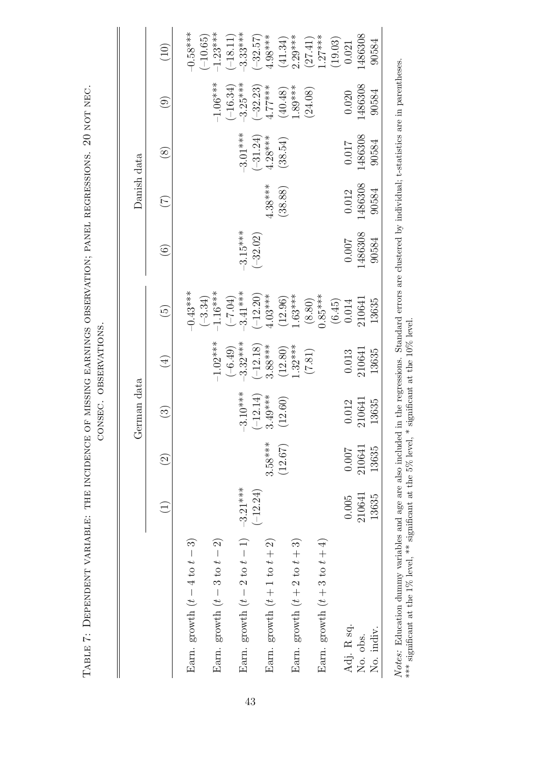|                                          |                 |           | German data            |                                                    |                                                   |                   | Danish data     |                                                    |                            |                          |
|------------------------------------------|-----------------|-----------|------------------------|----------------------------------------------------|---------------------------------------------------|-------------------|-----------------|----------------------------------------------------|----------------------------|--------------------------|
|                                          | $\widehat{\Xi}$ | $\odot$   | $\widehat{\mathbb{C}}$ | $(\pm)$                                            | $\widetilde{\Theta}$                              | $\widehat{\odot}$ | $(\mathcal{I})$ | $\circledS$                                        | $\widehat{(\mathfrak{g})}$ | (10)                     |
| Earn. growth $(t-4 \text{ to } t-3)$     |                 |           |                        |                                                    | $-0.43***$                                        |                   |                 |                                                    |                            | $-0.58***$               |
| Earn. growth $(t-3 \text{ to } t-2)$     |                 |           |                        | $-1.02***$                                         | $-1.16***$<br>$(-3.34)$                           |                   |                 |                                                    | $-1.06***$                 | $-1.23***$<br>$(-10.65)$ |
| Earn. growth $(t-2 \text{ to } t-1)$     | $-3.21***$      |           | $-3.10***$             | $\begin{array}{c} (-6.49) \\ -3.32*** \end{array}$ | $-3.41***$<br>$(+7.04)$                           | $-3.15***$        |                 | $-3.01***$                                         | $-3.25***$<br>$(-16.34)$   | $3.33***$<br>$(-18.11)$  |
|                                          | $(-12.24)$      |           | $(-12.14)$             |                                                    |                                                   | $(-32.02)$        |                 |                                                    |                            | $(-32.57)$               |
| Earn. growth $(t + 1$ to $t + 2)$        |                 | $3.58***$ | $3.49***$              | $\begin{array}{c} (-12.18) \\ 3.88*** \end{array}$ | $\begin{array}{c} (-12.20) \\ 4.03** \end{array}$ |                   | $4.38***$       | $\begin{array}{c} (-31.24) \\ 4.28*** \end{array}$ | $(-32.23)$<br>4.77***      | $4.98***$                |
|                                          |                 | (12.67)   | (12.60)                | $(12.80)$<br>1.32***                               | $(12.96)$<br>1.63***                              |                   | (38.88)         | (38.54)                                            | $(40.48)$<br>1.89***       | $(41.34)$<br>2.29***     |
| Earn. growth $(t + 2 \text{ to } t + 3)$ |                 |           |                        |                                                    |                                                   |                   |                 |                                                    |                            |                          |
|                                          |                 |           |                        | (7.81)                                             | (8.80)                                            |                   |                 |                                                    | (24.08)                    | (27.41)                  |
| Earn. growth $(t+3$ to $t+4)$            |                 |           |                        |                                                    | $0.85***$                                         |                   |                 |                                                    |                            | $1.27***$                |
|                                          |                 |           |                        |                                                    | $(6.45)$<br>0.014                                 |                   |                 |                                                    |                            | (19.03)                  |
| Adj. R sq.                               | 0.005           | 0.007     | 0.012                  | 0.013                                              |                                                   | 0.007             | 0.012           | 710.0                                              | 0.020                      | 0.021                    |
| No. obs.                                 | 210641          | 210641    | 210641                 | 210641                                             | 210641                                            | 486308            | 1486308         | 1486308                                            | 1486308                    | 486308                   |
| No. indiv                                | 13635           | 13635     | 13635                  | 13635                                              | 13635                                             | 90584             | 90584           | 90584                                              | 90584                      | 90584                    |

Table 7: Dependent variable: the incidence of missing earnings observation; panel regressions. 20 not nec.

<span id="page-42-0"></span>TABLE 7: DEPENDENT VARIABLE: THE INCIDENCE OF MISSING EARNINGS OBSERVATION; PANEL REGRESSIONS. 20 NOT NEC. CONSEC. OBSERVATIONS. *Notes*: Education dummy variables and age are also included in the regressions. Standard errors are clustered by individual; t-statistics are in parentheses.<br>\*\*\* significant at the 1% level, \*\* significant at the 5% leve Notes: Education dummy variables and age are also included in the regressions. Standard errors are clustered by individual; t-statistics are in parentheses. \*\*\* significant at the 1% level, \*\* significant at the 5% level, \* significant at the 10% level.

43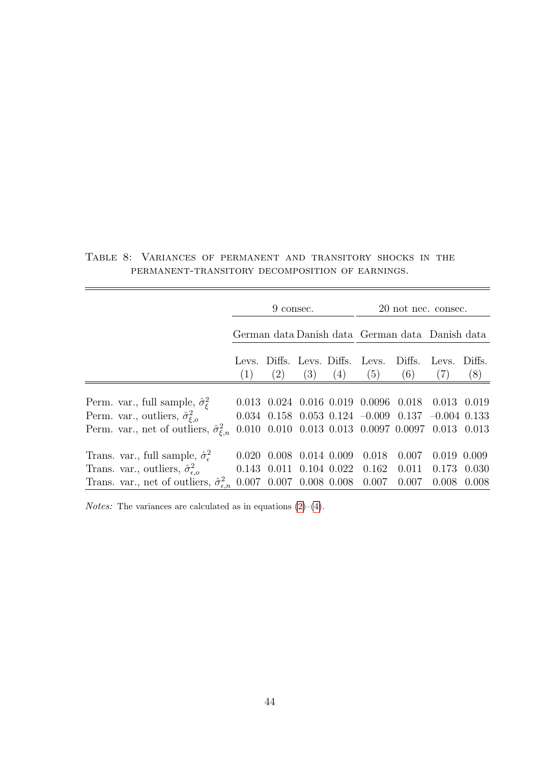|                                                             |       | 9 consec. |     |     |                                                                   | 20 not nec. consec. |               |               |
|-------------------------------------------------------------|-------|-----------|-----|-----|-------------------------------------------------------------------|---------------------|---------------|---------------|
|                                                             |       |           |     |     | German data Danish data German data Danish data                   |                     |               |               |
|                                                             | (1)   | (2)       | (3) | (4) | Levs. Diffs. Levs. Diffs. Levs.<br>(5)                            | Diffs.<br>(6)       | Levs.<br>(7)  | Diffs.<br>(8) |
|                                                             |       |           |     |     |                                                                   |                     |               |               |
| Perm. var., full sample, $\hat{\sigma}_{\xi}^2$             |       |           |     |     | $0.013$ $0.024$ $0.016$ $0.019$ $0.0096$ $0.018$                  |                     | $0.013$ 0.019 |               |
| Perm. var., outliers, $\hat{\sigma}^2_{\xi,o}$              |       |           |     |     | $0.034$ $0.158$ $0.053$ $0.124$ $-0.009$ $0.137$ $-0.004$ $0.133$ |                     |               |               |
| Perm. var., net of outliers, $\hat{\sigma}_{\xi,n}^2$       |       |           |     |     | $0.010$ $0.010$ $0.013$ $0.013$ $0.0097$ $0.0097$ $0.013$ $0.013$ |                     |               |               |
| Trans. var., full sample, $\hat{\sigma}_{\epsilon}^2$       | 0.020 |           |     |     | $0.008$ $0.014$ $0.009$ $0.018$                                   | 0.007               | 0.019         | 0.009         |
| Trans. var., outliers, $\hat{\sigma}_{\epsilon,o}^2$        |       |           |     |     | $0.143$ $0.011$ $0.104$ $0.022$ $0.162$ $0.011$                   |                     | 0.173         | 0.030         |
| Trans. var., net of outliers, $\hat{\sigma}_{\epsilon,n}^2$ |       |           |     |     | $0.007$ $0.007$ $0.008$ $0.008$ $0.007$ $0.007$                   |                     | 0.008         | 0.008         |

<span id="page-43-0"></span>Table 8: Variances of permanent and transitory shocks in the permanent-transitory decomposition of earnings.

 $Notes:$  The variances are calculated as in equations [\(2\)](#page-20-1)–[\(4\)](#page-21-0).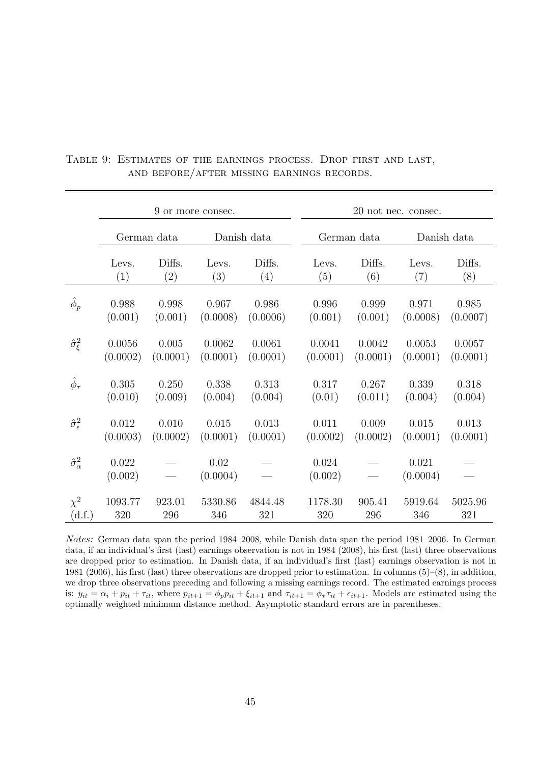|                             |                  | 9 or more consec. |                  |             |                  |             | 20 not nec. consec. |             |
|-----------------------------|------------------|-------------------|------------------|-------------|------------------|-------------|---------------------|-------------|
|                             |                  | German data       |                  | Danish data |                  | German data |                     | Danish data |
|                             | Levs.            | Diffs.            | Levs.            | Diffs.      | Levs.            | Diffs.      | Levs.               | Diffs.      |
|                             | (1)              | $\left( 2\right)$ | (3)              | (4)         | (5)              | (6)         | (7)                 | (8)         |
| $\hat{\phi}_p$              | 0.988            | 0.998             | 0.967            | 0.986       | 0.996            | 0.999       | 0.971               | 0.985       |
|                             | (0.001)          | (0.001)           | (0.0008)         | (0.0006)    | (0.001)          | (0.001)     | (0.0008)            | (0.0007)    |
| $\hat{\sigma}_{\xi}^2$      | 0.0056           | 0.005             | 0.0062           | 0.0061      | 0.0041           | 0.0042      | 0.0053              | 0.0057      |
|                             | (0.0002)         | (0.0001)          | (0.0001)         | (0.0001)    | (0.0001)         | (0.0001)    | (0.0001)            | (0.0001)    |
| $\hat{\phi}_{\tau}$         | 0.305            | 0.250             | 0.338            | 0.313       | 0.317            | 0.267       | 0.339               | 0.318       |
|                             | (0.010)          | (0.009)           | (0.004)          | (0.004)     | (0.01)           | (0.011)     | (0.004)             | (0.004)     |
| $\hat{\sigma}_{\epsilon}^2$ | 0.012            | 0.010             | 0.015            | 0.013       | 0.011            | 0.009       | 0.015               | 0.013       |
|                             | (0.0003)         | (0.0002)          | (0.0001)         | (0.0001)    | (0.0002)         | (0.0002)    | (0.0001)            | (0.0001)    |
| $\hat{\sigma}^2_{\alpha}$   | 0.022<br>(0.002) |                   | 0.02<br>(0.0004) |             | 0.024<br>(0.002) |             | 0.021<br>(0.0004)   |             |
| $\chi^2$                    | 1093.77          | 923.01            | 5330.86          | 4844.48     | 1178.30          | 905.41      | 5919.64             | 5025.96     |
| (d.f.)                      | 320              | 296               | 346              | 321         | 320              | 296         | 346                 | 321         |

<span id="page-44-0"></span>Table 9: Estimates of the earnings process. Drop first and last, and before/after missing earnings records.

Notes: German data span the period 1984–2008, while Danish data span the period 1981–2006. In German data, if an individual's first (last) earnings observation is not in 1984 (2008), his first (last) three observations are dropped prior to estimation. In Danish data, if an individual's first (last) earnings observation is not in 1981 (2006), his first (last) three observations are dropped prior to estimation. In columns (5)–(8), in addition, we drop three observations preceding and following a missing earnings record. The estimated earnings process is:  $y_{it} = \alpha_i + p_{it} + \tau_{it}$ , where  $p_{it+1} = \phi_p p_{it} + \xi_{it+1}$  and  $\tau_{it+1} = \phi_r \tau_{it} + \epsilon_{it+1}$ . Models are estimated using the optimally weighted minimum distance method. Asymptotic standard errors are in parentheses.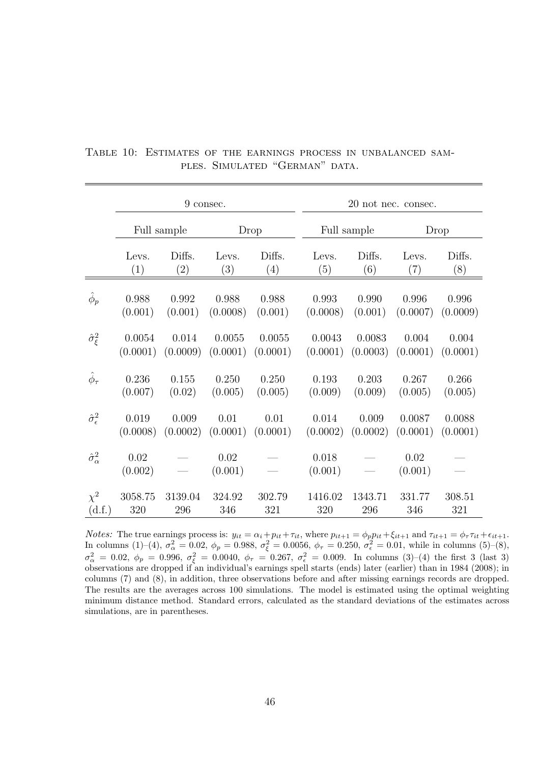|                               |                 |             | 9 consec.       |          |                  |             | 20 not nec. consec. |          |
|-------------------------------|-----------------|-------------|-----------------|----------|------------------|-------------|---------------------|----------|
|                               |                 | Full sample |                 | Drop     |                  | Full sample |                     | Drop     |
|                               | Levs.           | Diffs.      | Levs.           | Diffs.   | Levs.            | Diffs.      | Levs.               | Diffs.   |
|                               | (1)             | (2)         | (3)             | (4)      | (5)              | (6)         | (7)                 | (8)      |
| $\phi_p$                      | 0.988           | 0.992       | 0.988           | 0.988    | 0.993            | 0.990       | 0.996               | 0.996    |
|                               | (0.001)         | (0.001)     | (0.0008)        | (0.001)  | (0.0008)         | (0.001)     | (0.0007)            | (0.0009) |
| $\hat{\sigma}_{\xi}^2$        | 0.0054          | 0.014       | 0.0055          | 0.0055   | 0.0043           | 0.0083      | 0.004               | 0.004    |
|                               | (0.0001)        | (0.0009)    | (0.0001)        | (0.0001) | (0.0001)         | (0.0003)    | (0.0001)            | (0.0001) |
| $\hat{\phi}_{\tau}$           | 0.236           | 0.155       | 0.250           | 0.250    | 0.193            | 0.203       | 0.267               | 0.266    |
|                               | (0.007)         | (0.02)      | (0.005)         | (0.005)  | (0.009)          | (0.009)     | (0.005)             | (0.005)  |
| $\hat{\sigma}_{\epsilon}^{2}$ | 0.019           | 0.009       | 0.01            | 0.01     | 0.014            | 0.009       | 0.0087              | 0.0088   |
|                               | (0.0008)        | (0.0002)    | (0.0001)        | (0.0001) | (0.0002)         | (0.0002)    | (0.0001)            | (0.0001) |
| $\hat{\sigma}^2_{\alpha}$     | 0.02<br>(0.002) |             | 0.02<br>(0.001) |          | 0.018<br>(0.001) |             | 0.02<br>(0.001)     |          |
| $\chi^2$                      | 3058.75         | 3139.04     | 324.92          | 302.79   | 1416.02          | 1343.71     | 331.77              | 308.51   |
| (d.f.)                        | 320             | 296         | 346             | 321      | 320              | 296         | 346                 | 321      |

<span id="page-45-0"></span>Table 10: Estimates of the earnings process in unbalanced samples. Simulated "German" data.

*Notes:* The true earnings process is:  $y_{it} = \alpha_i + p_{it} + \tau_{it}$ , where  $p_{it+1} = \phi_p p_{it} + \xi_{it+1}$  and  $\tau_{it+1} = \phi_r \tau_{it} + \epsilon_{it+1}$ . In columns (1)–(4),  $\sigma_{\alpha}^2 = 0.02$ ,  $\phi_p = 0.988$ ,  $\sigma_{\xi}^2 = 0.0056$ ,  $\phi_{\tau} = 0.250$ ,  $\sigma_{\epsilon}^2 = 0.01$ , while in columns (5)–(8),  $\sigma_{\alpha}^2 = 0.02, \ \phi_p = 0.996, \ \sigma_{\xi}^2 = 0.0040, \ \phi_{\tau} = 0.267, \ \sigma_{\epsilon}^2 = 0.009.$  In columns (3)–(4) the first 3 (last 3) observations are dropped if an individual's earnings spell starts (ends) later (earlier) than in 1984 (2008); in columns (7) and (8), in addition, three observations before and after missing earnings records are dropped. The results are the averages across 100 simulations. The model is estimated using the optimal weighting minimum distance method. Standard errors, calculated as the standard deviations of the estimates across simulations, are in parentheses.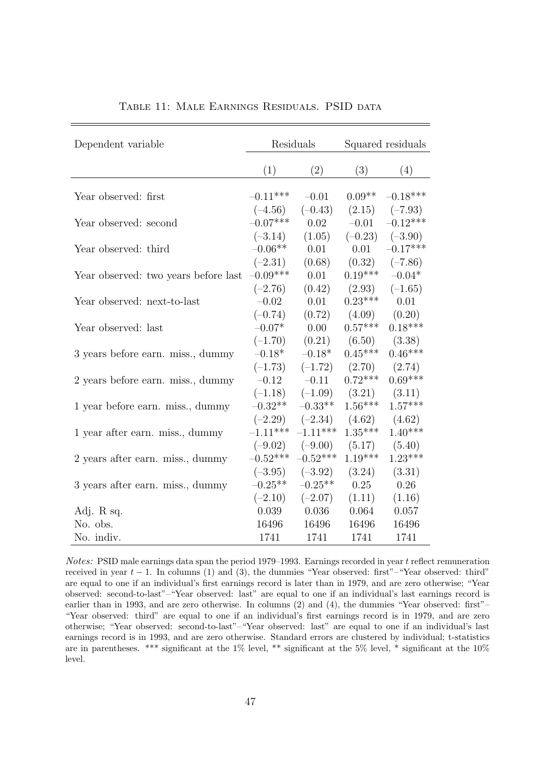<span id="page-46-0"></span>

| Dependent variable                   | Residuals  |            | Squared residuals |            |
|--------------------------------------|------------|------------|-------------------|------------|
|                                      | (1)        | (2)        | (3)               | (4)        |
| Year observed: first                 | $-0.11***$ | $-0.01$    | $0.09**$          | $-0.18***$ |
|                                      | $(-4.56)$  | $(-0.43)$  | (2.15)            | $(-7.93)$  |
| Year observed: second                | $-0.07***$ | 0.02       | $-0.01$           | $-0.12***$ |
|                                      | $(-3.14)$  | (1.05)     | $(-0.23)$         | $(-3.90)$  |
| Year observed: third                 | $-0.06**$  | 0.01       | 0.01              | $-0.17***$ |
|                                      | $(-2.31)$  | (0.68)     | (0.32)            | $(-7.86)$  |
| Year observed: two years before last | $-0.09***$ | 0.01       | $0.19***$         | $-0.04*$   |
|                                      | $(-2.76)$  | (0.42)     | (2.93)            | $(-1.65)$  |
| Year observed: next-to-last          | $-0.02$    | 0.01       | $0.23***$         | 0.01       |
|                                      | $(-0.74)$  | (0.72)     | (4.09)            | (0.20)     |
| Year observed: last                  | $-0.07*$   | 0.00       | $0.57***$         | $0.18***$  |
|                                      | $(-1.70)$  | (0.21)     | (6.50)            | (3.38)     |
| 3 years before earn. miss., dummy    | $-0.18*$   | $-0.18*$   | $0.45***$         | $0.46***$  |
|                                      | $(-1.73)$  | $(-1.72)$  | (2.70)            | (2.74)     |
| 2 years before earn. miss., dummy    | $-0.12$    | $-0.11$    | $0.72***$         | $0.69***$  |
|                                      | $(-1.18)$  | $(-1.09)$  | (3.21)            | (3.11)     |
| 1 year before earn. miss., dummy     | $-0.32**$  | $-0.33**$  | $1.56***$         | $1.57***$  |
|                                      | $(-2.29)$  | $(-2.34)$  | (4.62)            | (4.62)     |
| 1 year after earn. miss., dummy      | $-1.11***$ | $-1.11***$ | $1.35***$         | $1.40***$  |
|                                      | $(-9.02)$  | $(-9.00)$  | (5.17)            | (5.40)     |
| 2 years after earn. miss., dummy     | $-0.52***$ | $-0.52***$ | $1.19***$         | $1.23***$  |
|                                      | $(-3.95)$  | $(-3.92)$  | (3.24)            | (3.31)     |
| 3 years after earn. miss., dummy     | $-0.25**$  | $-0.25**$  | 0.25              | 0.26       |
|                                      | $(-2.10)$  | $(-2.07)$  | (1.11)            | (1.16)     |
| Adj. R sq.                           | 0.039      | 0.036      | 0.064             | 0.057      |
| No. obs.                             | 16496      | 16496      | 16496             | 16496      |
| No. indiv.                           | 1741       | 1741       | 1741              | 1741       |

TABLE 11: MALE EARNINGS RESIDUALS. PSID DATA

Notes: PSID male earnings data span the period 1979–1993. Earnings recorded in year t reflect remuneration received in year  $t - 1$ . In columns (1) and (3), the dummies "Year observed: first"–"Year observed: third" are equal to one if an individual's first earnings record is later than in 1979, and are zero otherwise; "Year observed: second-to-last"–"Year observed: last" are equal to one if an individual's last earnings record is earlier than in 1993, and are zero otherwise. In columns (2) and (4), the dummies "Year observed: first"– "Year observed: third" are equal to one if an individual's first earnings record is in 1979, and are zero otherwise; "Year observed: second-to-last"–"Year observed: last" are equal to one if an individual's last earnings record is in 1993, and are zero otherwise. Standard errors are clustered by individual; t-statistics are in parentheses. \*\*\* significant at the 1% level, \*\* significant at the 5% level, \* significant at the 10% level.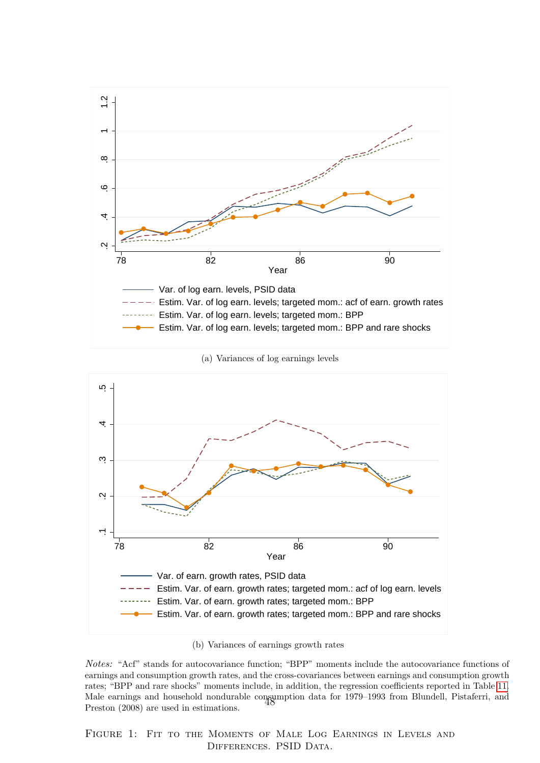<span id="page-47-0"></span>

(a) Variances of log earnings levels



(b) Variances of earnings growth rates

<span id="page-47-1"></span>Notes: "Acf" stands for autocovariance function; "BPP" moments include the autocovariance functions of earnings and consumption growth rates, and the cross-covariances between earnings and consumption growth rates; "BPP and rare shocks" moments include, in addition, the regression coefficients reported in Table [11.](#page-46-0) Male earnings and household nondurable consumption data for 1979–1993 from Blundell, Pistaferri, and<br>Preston (2008) are used in estimations Preston (2008) are used in estimations.

Figure 1: Fit to the Moments of Male Log Earnings in Levels and DIFFERENCES. PSID DATA.